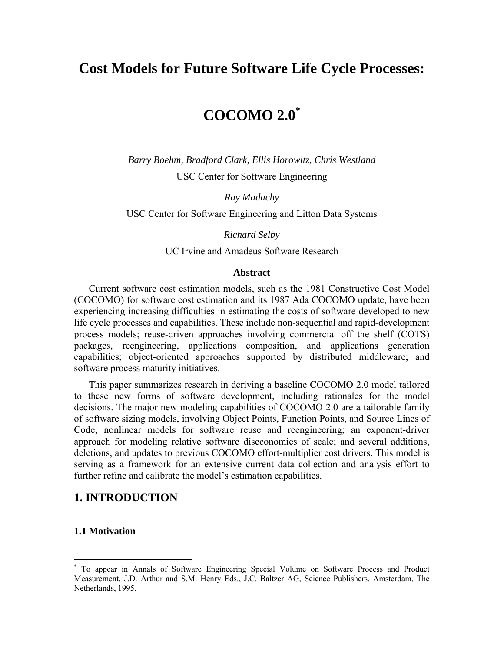## **Cost Models for Future Software Life Cycle Processes:**

## **COCOMO 2.[0\\*](#page-0-0)**

*Barry Boehm, Bradford Clark, Ellis Horowitz, Chris Westland*  USC Center for Software Engineering

*Ray Madachy* 

USC Center for Software Engineering and Litton Data Systems

*Richard Selby* 

UC Irvine and Amadeus Software Research

#### **Abstract**

Current software cost estimation models, such as the 1981 Constructive Cost Model (COCOMO) for software cost estimation and its 1987 Ada COCOMO update, have been experiencing increasing difficulties in estimating the costs of software developed to new life cycle processes and capabilities. These include non-sequential and rapid-development process models; reuse-driven approaches involving commercial off the shelf (COTS) packages, reengineering, applications composition, and applications generation capabilities; object-oriented approaches supported by distributed middleware; and software process maturity initiatives.

This paper summarizes research in deriving a baseline COCOMO 2.0 model tailored to these new forms of software development, including rationales for the model decisions. The major new modeling capabilities of COCOMO 2.0 are a tailorable family of software sizing models, involving Object Points, Function Points, and Source Lines of Code; nonlinear models for software reuse and reengineering; an exponent-driver approach for modeling relative software diseconomies of scale; and several additions, deletions, and updates to previous COCOMO effort-multiplier cost drivers. This model is serving as a framework for an extensive current data collection and analysis effort to further refine and calibrate the model's estimation capabilities.

## **1. INTRODUCTION**

#### **1.1 Motivation**

 $\overline{a}$ 

<span id="page-0-0"></span><sup>\*</sup> To appear in Annals of Software Engineering Special Volume on Software Process and Product Measurement, J.D. Arthur and S.M. Henry Eds., J.C. Baltzer AG, Science Publishers, Amsterdam, The Netherlands, 1995.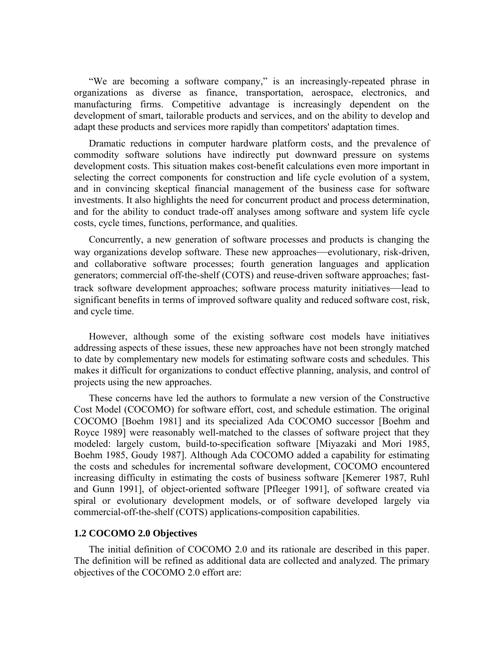"We are becoming a software company," is an increasingly-repeated phrase in organizations as diverse as finance, transportation, aerospace, electronics, and manufacturing firms. Competitive advantage is increasingly dependent on the development of smart, tailorable products and services, and on the ability to develop and adapt these products and services more rapidly than competitors' adaptation times.

Dramatic reductions in computer hardware platform costs, and the prevalence of commodity software solutions have indirectly put downward pressure on systems development costs. This situation makes cost-benefit calculations even more important in selecting the correct components for construction and life cycle evolution of a system, and in convincing skeptical financial management of the business case for software investments. It also highlights the need for concurrent product and process determination, and for the ability to conduct trade-off analyses among software and system life cycle costs, cycle times, functions, performance, and qualities.

Concurrently, a new generation of software processes and products is changing the way organizations develop software. These new approaches—evolutionary, risk-driven, and collaborative software processes; fourth generation languages and application generators; commercial off-the-shelf (COTS) and reuse-driven software approaches; fasttrack software development approaches; software process maturity initiatives—lead to significant benefits in terms of improved software quality and reduced software cost, risk, and cycle time.

However, although some of the existing software cost models have initiatives addressing aspects of these issues, these new approaches have not been strongly matched to date by complementary new models for estimating software costs and schedules. This makes it difficult for organizations to conduct effective planning, analysis, and control of projects using the new approaches.

These concerns have led the authors to formulate a new version of the Constructive Cost Model (COCOMO) for software effort, cost, and schedule estimation. The original COCOMO [Boehm 1981] and its specialized Ada COCOMO successor [Boehm and Royce 1989] were reasonably well-matched to the classes of software project that they modeled: largely custom, build-to-specification software [Miyazaki and Mori 1985, Boehm 1985, Goudy 1987]. Although Ada COCOMO added a capability for estimating the costs and schedules for incremental software development, COCOMO encountered increasing difficulty in estimating the costs of business software [Kemerer 1987, Ruhl and Gunn 1991], of object-oriented software [Pfleeger 1991], of software created via spiral or evolutionary development models, or of software developed largely via commercial-off-the-shelf (COTS) applications-composition capabilities.

#### **1.2 COCOMO 2.0 Objectives**

The initial definition of COCOMO 2.0 and its rationale are described in this paper. The definition will be refined as additional data are collected and analyzed. The primary objectives of the COCOMO 2.0 effort are: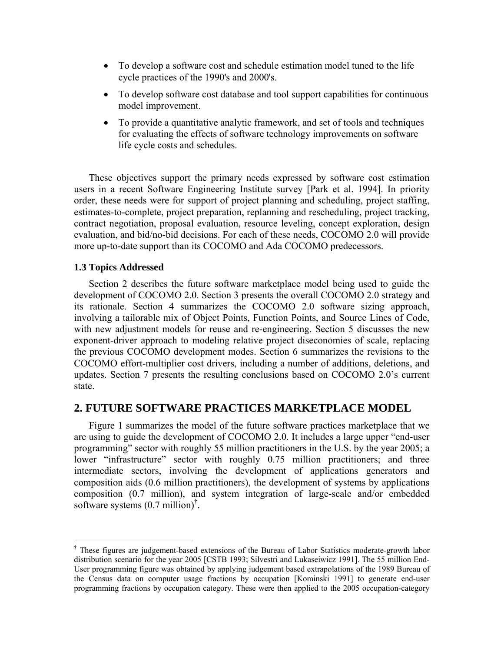- <span id="page-2-0"></span>• To develop a software cost and schedule estimation model tuned to the life cycle practices of the 1990's and 2000's.
- To develop software cost database and tool support capabilities for continuous model improvement.
- To provide a quantitative analytic framework, and set of tools and techniques for evaluating the effects of software technology improvements on software life cycle costs and schedules.

These objectives support the primary needs expressed by software cost estimation users in a recent Software Engineering Institute survey [Park et al. 1994]. In priority order, these needs were for support of project planning and scheduling, project staffing, estimates-to-complete, project preparation, replanning and rescheduling, project tracking, contract negotiation, proposal evaluation, resource leveling, concept exploration, design evaluation, and bid/no-bid decisions. For each of these needs, COCOMO 2.0 will provide more up-to-date support than its COCOMO and Ada COCOMO predecessors.

## **1.3 Topics Addressed**

Section 2 describes the future software marketplace model being used to guide the development of COCOMO 2.0. Section 3 presents the overall COCOMO 2.0 strategy and its rationale. Section 4 summarizes the COCOMO 2.0 software sizing approach, involving a tailorable mix of Object Points, Function Points, and Source Lines of Code, with new adjustment models for reuse and re-engineering. Section 5 discusses the new exponent-driver approach to modeling relative project diseconomies of scale, replacing the previous COCOMO development modes. Section 6 summarizes the revisions to the COCOMO effort-multiplier cost drivers, including a number of additions, deletions, and updates. Section 7 presents the resulting conclusions based on COCOMO 2.0's current state.

## **2. FUTURE SOFTWARE PRACTICES MARKETPLACE MODEL**

Figure 1 summarizes the model of the future software practices marketplace that we are using to guide the development of COCOMO 2.0. It includes a large upper "end-user programming" sector with roughly 55 million practitioners in the U.S. by the year 2005; a lower "infrastructure" sector with roughly 0.75 million practitioners; and three intermediate sectors, involving the development of applications generators and composition aids (0.6 million practitioners), the development of systems by applications composition (0.7 million), and system integration of large-scale and/or embedded software systems (0.7 million)[†](#page-2-0) .

 $\overline{a}$ † These figures are judgement-based extensions of the Bureau of Labor Statistics moderate-growth labor distribution scenario for the year 2005 [CSTB 1993; Silvestri and Lukaseiwicz 1991]. The 55 million End-User programming figure was obtained by applying judgement based extrapolations of the 1989 Bureau of the Census data on computer usage fractions by occupation [Kominski 1991] to generate end-user programming fractions by occupation category. These were then applied to the 2005 occupation-category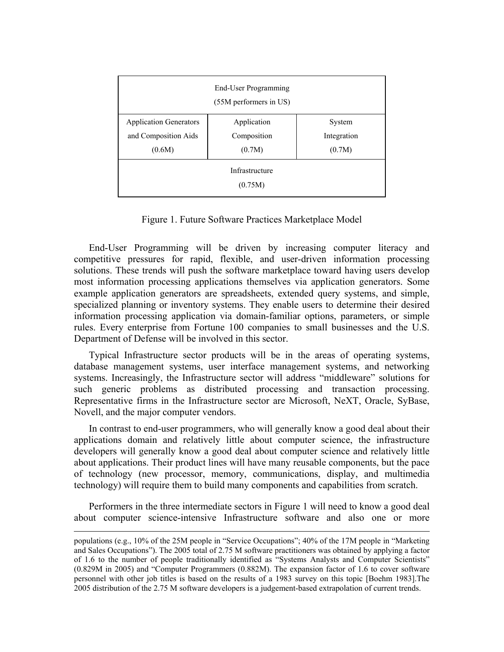|                                                                 | End-User Programming<br>(55M performers in US) |                                 |
|-----------------------------------------------------------------|------------------------------------------------|---------------------------------|
| <b>Application Generators</b><br>and Composition Aids<br>(0.6M) | Application<br>Composition<br>(0.7M)           | System<br>Integration<br>(0.7M) |
|                                                                 | Infrastructure<br>(0.75M)                      |                                 |

Figure 1. Future Software Practices Marketplace Model

End-User Programming will be driven by increasing computer literacy and competitive pressures for rapid, flexible, and user-driven information processing solutions. These trends will push the software marketplace toward having users develop most information processing applications themselves via application generators. Some example application generators are spreadsheets, extended query systems, and simple, specialized planning or inventory systems. They enable users to determine their desired information processing application via domain-familiar options, parameters, or simple rules. Every enterprise from Fortune 100 companies to small businesses and the U.S. Department of Defense will be involved in this sector.

Typical Infrastructure sector products will be in the areas of operating systems, database management systems, user interface management systems, and networking systems. Increasingly, the Infrastructure sector will address "middleware" solutions for such generic problems as distributed processing and transaction processing. Representative firms in the Infrastructure sector are Microsoft, NeXT, Oracle, SyBase, Novell, and the major computer vendors.

In contrast to end-user programmers, who will generally know a good deal about their applications domain and relatively little about computer science, the infrastructure developers will generally know a good deal about computer science and relatively little about applications. Their product lines will have many reusable components, but the pace of technology (new processor, memory, communications, display, and multimedia technology) will require them to build many components and capabilities from scratch.

Performers in the three intermediate sectors in Figure 1 will need to know a good deal about computer science-intensive Infrastructure software and also one or more

populations (e.g., 10% of the 25M people in "Service Occupations"; 40% of the 17M people in "Marketing and Sales Occupations"). The 2005 total of 2.75 M software practitioners was obtained by applying a factor of 1.6 to the number of people traditionally identified as "Systems Analysts and Computer Scientists" (0.829M in 2005) and "Computer Programmers (0.882M). The expansion factor of 1.6 to cover software personnel with other job titles is based on the results of a 1983 survey on this topic [Boehm 1983].The 2005 distribution of the 2.75 M software developers is a judgement-based extrapolation of current trends.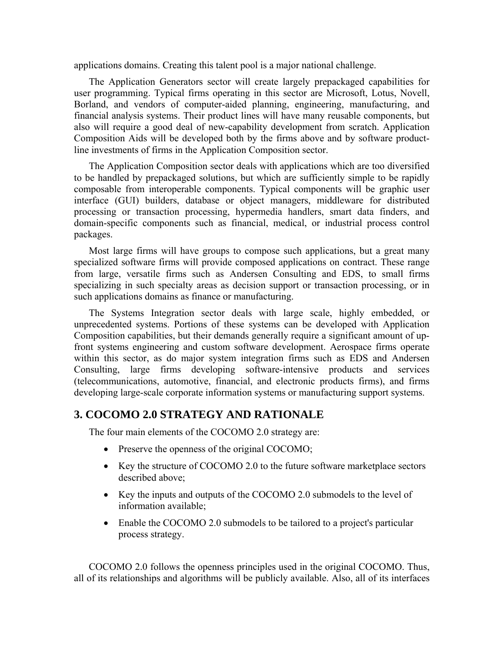applications domains. Creating this talent pool is a major national challenge.

The Application Generators sector will create largely prepackaged capabilities for user programming. Typical firms operating in this sector are Microsoft, Lotus, Novell, Borland, and vendors of computer-aided planning, engineering, manufacturing, and financial analysis systems. Their product lines will have many reusable components, but also will require a good deal of new-capability development from scratch. Application Composition Aids will be developed both by the firms above and by software productline investments of firms in the Application Composition sector.

The Application Composition sector deals with applications which are too diversified to be handled by prepackaged solutions, but which are sufficiently simple to be rapidly composable from interoperable components. Typical components will be graphic user interface (GUI) builders, database or object managers, middleware for distributed processing or transaction processing, hypermedia handlers, smart data finders, and domain-specific components such as financial, medical, or industrial process control packages.

Most large firms will have groups to compose such applications, but a great many specialized software firms will provide composed applications on contract. These range from large, versatile firms such as Andersen Consulting and EDS, to small firms specializing in such specialty areas as decision support or transaction processing, or in such applications domains as finance or manufacturing.

The Systems Integration sector deals with large scale, highly embedded, or unprecedented systems. Portions of these systems can be developed with Application Composition capabilities, but their demands generally require a significant amount of upfront systems engineering and custom software development. Aerospace firms operate within this sector, as do major system integration firms such as EDS and Andersen Consulting, large firms developing software-intensive products and services (telecommunications, automotive, financial, and electronic products firms), and firms developing large-scale corporate information systems or manufacturing support systems.

## **3. COCOMO 2.0 STRATEGY AND RATIONALE**

The four main elements of the COCOMO 2.0 strategy are:

- Preserve the openness of the original COCOMO;
- Key the structure of COCOMO 2.0 to the future software marketplace sectors described above;
- Key the inputs and outputs of the COCOMO 2.0 submodels to the level of information available;
- Enable the COCOMO 2.0 submodels to be tailored to a project's particular process strategy.

COCOMO 2.0 follows the openness principles used in the original COCOMO. Thus, all of its relationships and algorithms will be publicly available. Also, all of its interfaces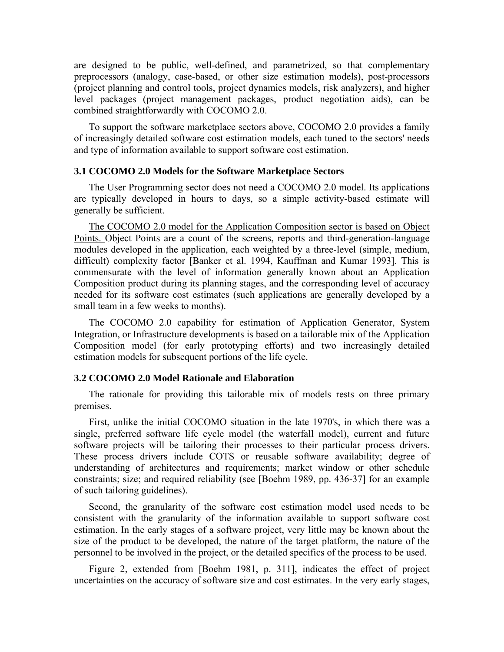are designed to be public, well-defined, and parametrized, so that complementary preprocessors (analogy, case-based, or other size estimation models), post-processors (project planning and control tools, project dynamics models, risk analyzers), and higher level packages (project management packages, product negotiation aids), can be combined straightforwardly with COCOMO 2.0.

To support the software marketplace sectors above, COCOMO 2.0 provides a family of increasingly detailed software cost estimation models, each tuned to the sectors' needs and type of information available to support software cost estimation.

#### **3.1 COCOMO 2.0 Models for the Software Marketplace Sectors**

The User Programming sector does not need a COCOMO 2.0 model. Its applications are typically developed in hours to days, so a simple activity-based estimate will generally be sufficient.

The COCOMO 2.0 model for the Application Composition sector is based on Object Points. Object Points are a count of the screens, reports and third-generation-language modules developed in the application, each weighted by a three-level (simple, medium, difficult) complexity factor [Banker et al. 1994, Kauffman and Kumar 1993]. This is commensurate with the level of information generally known about an Application Composition product during its planning stages, and the corresponding level of accuracy needed for its software cost estimates (such applications are generally developed by a small team in a few weeks to months).

The COCOMO 2.0 capability for estimation of Application Generator, System Integration, or Infrastructure developments is based on a tailorable mix of the Application Composition model (for early prototyping efforts) and two increasingly detailed estimation models for subsequent portions of the life cycle.

#### **3.2 COCOMO 2.0 Model Rationale and Elaboration**

The rationale for providing this tailorable mix of models rests on three primary premises.

First, unlike the initial COCOMO situation in the late 1970's, in which there was a single, preferred software life cycle model (the waterfall model), current and future software projects will be tailoring their processes to their particular process drivers. These process drivers include COTS or reusable software availability; degree of understanding of architectures and requirements; market window or other schedule constraints; size; and required reliability (see [Boehm 1989, pp. 436-37] for an example of such tailoring guidelines).

Second, the granularity of the software cost estimation model used needs to be consistent with the granularity of the information available to support software cost estimation. In the early stages of a software project, very little may be known about the size of the product to be developed, the nature of the target platform, the nature of the personnel to be involved in the project, or the detailed specifics of the process to be used.

Figure 2, extended from [Boehm 1981, p. 311], indicates the effect of project uncertainties on the accuracy of software size and cost estimates. In the very early stages,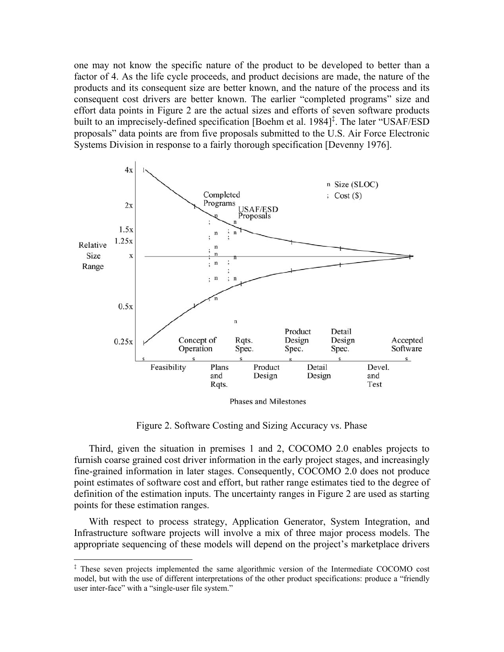one may not know the specific nature of the product to be developed to better than a factor of 4. As the life cycle proceeds, and product decisions are made, the nature of the products and its consequent size are better known, and the nature of the process and its consequent cost drivers are better known. The earlier "completed programs" size and effort data points in Figure 2 are the actual sizes and efforts of seven software products built to an imprecisely-defined specification [Boehm et al. 1984]<sup>[‡](#page-6-0)</sup>. The later "USAF/ESD proposals" data points are from five proposals submitted to the U.S. Air Force Electronic Systems Division in response to a fairly thorough specification [Devenny 1976].



Figure 2. Software Costing and Sizing Accuracy vs. Phase

Third, given the situation in premises 1 and 2, COCOMO 2.0 enables projects to furnish coarse grained cost driver information in the early project stages, and increasingly fine-grained information in later stages. Consequently, COCOMO 2.0 does not produce point estimates of software cost and effort, but rather range estimates tied to the degree of definition of the estimation inputs. The uncertainty ranges in Figure 2 are used as starting points for these estimation ranges.

With respect to process strategy, Application Generator, System Integration, and Infrastructure software projects will involve a mix of three major process models. The appropriate sequencing of these models will depend on the project's marketplace drivers

1

<span id="page-6-0"></span><sup>‡</sup> These seven projects implemented the same algorithmic version of the Intermediate COCOMO cost model, but with the use of different interpretations of the other product specifications: produce a "friendly user inter-face" with a "single-user file system."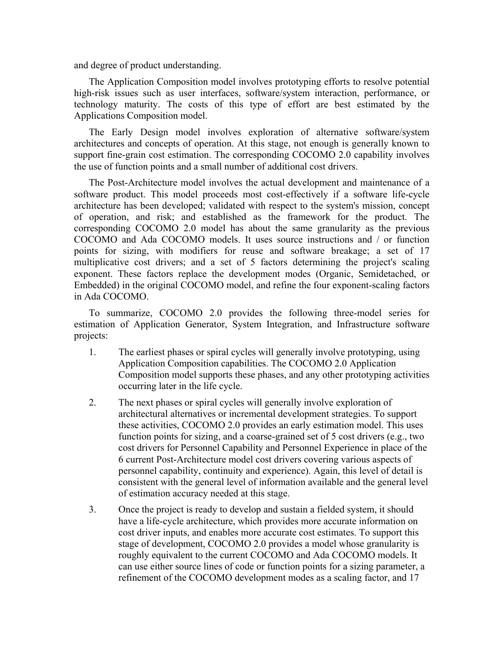and degree of product understanding.

The Application Composition model involves prototyping efforts to resolve potential high-risk issues such as user interfaces, software/system interaction, performance, or technology maturity. The costs of this type of effort are best estimated by the Applications Composition model.

The Early Design model involves exploration of alternative software/system architectures and concepts of operation. At this stage, not enough is generally known to support fine-grain cost estimation. The corresponding COCOMO 2.0 capability involves the use of function points and a small number of additional cost drivers.

The Post-Architecture model involves the actual development and maintenance of a software product. This model proceeds most cost-effectively if a software life-cycle architecture has been developed; validated with respect to the system's mission, concept of operation, and risk; and established as the framework for the product. The corresponding COCOMO 2.0 model has about the same granularity as the previous COCOMO and Ada COCOMO models. It uses source instructions and / or function points for sizing, with modifiers for reuse and software breakage; a set of 17 multiplicative cost drivers; and a set of 5 factors determining the project's scaling exponent. These factors replace the development modes (Organic, Semidetached, or Embedded) in the original COCOMO model, and refine the four exponent-scaling factors in Ada COCOMO.

To summarize, COCOMO 2.0 provides the following three-model series for estimation of Application Generator, System Integration, and Infrastructure software projects:

- 1. The earliest phases or spiral cycles will generally involve prototyping, using Application Composition capabilities. The COCOMO 2.0 Application Composition model supports these phases, and any other prototyping activities occurring later in the life cycle.
- 2. The next phases or spiral cycles will generally involve exploration of architectural alternatives or incremental development strategies. To support these activities, COCOMO 2.0 provides an early estimation model. This uses function points for sizing, and a coarse-grained set of 5 cost drivers (e.g., two cost drivers for Personnel Capability and Personnel Experience in place of the 6 current Post-Architecture model cost drivers covering various aspects of personnel capability, continuity and experience). Again, this level of detail is consistent with the general level of information available and the general level of estimation accuracy needed at this stage.
- 3. Once the project is ready to develop and sustain a fielded system, it should have a life-cycle architecture, which provides more accurate information on cost driver inputs, and enables more accurate cost estimates. To support this stage of development, COCOMO 2.0 provides a model whose granularity is roughly equivalent to the current COCOMO and Ada COCOMO models. It can use either source lines of code or function points for a sizing parameter, a refinement of the COCOMO development modes as a scaling factor, and 17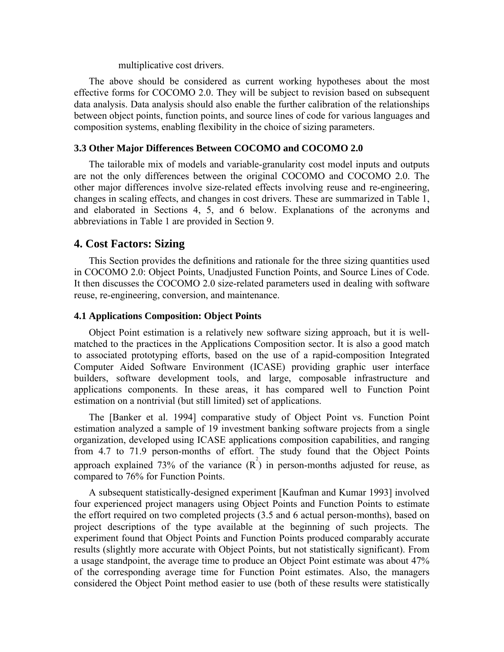#### multiplicative cost drivers.

The above should be considered as current working hypotheses about the most effective forms for COCOMO 2.0. They will be subject to revision based on subsequent data analysis. Data analysis should also enable the further calibration of the relationships between object points, function points, and source lines of code for various languages and composition systems, enabling flexibility in the choice of sizing parameters.

#### **3.3 Other Major Differences Between COCOMO and COCOMO 2.0**

The tailorable mix of models and variable-granularity cost model inputs and outputs are not the only differences between the original COCOMO and COCOMO 2.0. The other major differences involve size-related effects involving reuse and re-engineering, changes in scaling effects, and changes in cost drivers. These are summarized in Table 1, and elaborated in Sections 4, 5, and 6 below. Explanations of the acronyms and abbreviations in Table 1 are provided in Section 9.

## **4. Cost Factors: Sizing**

This Section provides the definitions and rationale for the three sizing quantities used in COCOMO 2.0: Object Points, Unadjusted Function Points, and Source Lines of Code. It then discusses the COCOMO 2.0 size-related parameters used in dealing with software reuse, re-engineering, conversion, and maintenance.

#### **4.1 Applications Composition: Object Points**

Object Point estimation is a relatively new software sizing approach, but it is wellmatched to the practices in the Applications Composition sector. It is also a good match to associated prototyping efforts, based on the use of a rapid-composition Integrated Computer Aided Software Environment (ICASE) providing graphic user interface builders, software development tools, and large, composable infrastructure and applications components. In these areas, it has compared well to Function Point estimation on a nontrivial (but still limited) set of applications.

The [Banker et al. 1994] comparative study of Object Point vs. Function Point estimation analyzed a sample of 19 investment banking software projects from a single organization, developed using ICASE applications composition capabilities, and ranging from 4.7 to 71.9 person-months of effort. The study found that the Object Points approach explained 73% of the variance  $(R<sup>2</sup>)$  in person-months adjusted for reuse, as compared to 76% for Function Points.

A subsequent statistically-designed experiment [Kaufman and Kumar 1993] involved four experienced project managers using Object Points and Function Points to estimate the effort required on two completed projects (3.5 and 6 actual person-months), based on project descriptions of the type available at the beginning of such projects. The experiment found that Object Points and Function Points produced comparably accurate results (slightly more accurate with Object Points, but not statistically significant). From a usage standpoint, the average time to produce an Object Point estimate was about 47% of the corresponding average time for Function Point estimates. Also, the managers considered the Object Point method easier to use (both of these results were statistically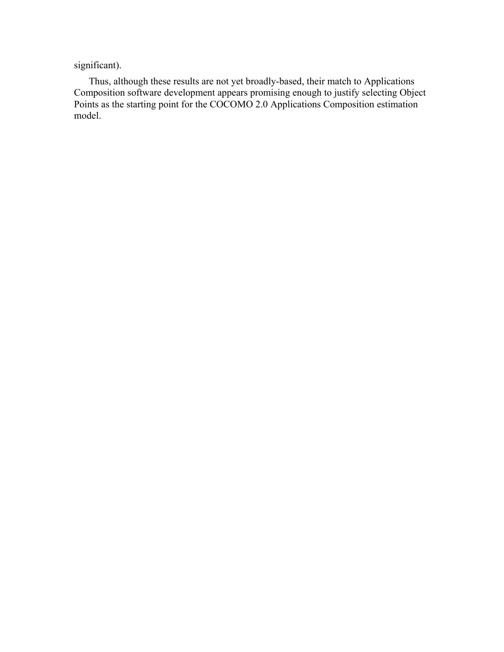significant).

Thus, although these results are not yet broadly-based, their match to Applications Composition software development appears promising enough to justify selecting Object Points as the starting point for the COCOMO 2.0 Applications Composition estimation model.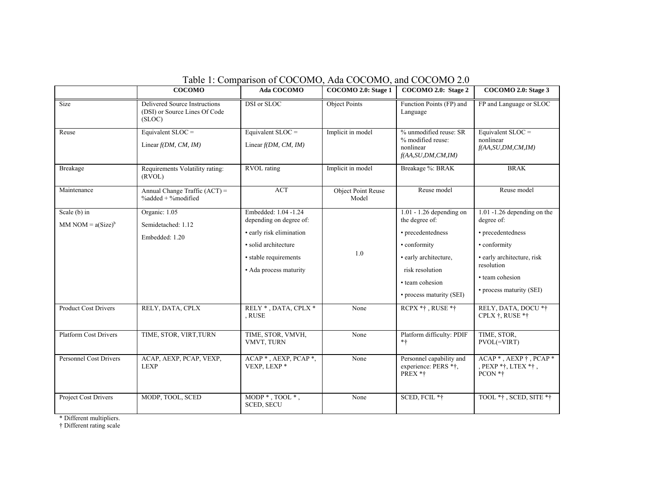|                                      | <b>COCOMO</b>                                                            | Ada COCOMO                                                                                                                                             | COCOMO 2.0: Stage 1                | COCOMO 2.0: Stage 2                                                                                                                                                          | COCOMO 2.0: Stage 3                                                                                                                                                          |
|--------------------------------------|--------------------------------------------------------------------------|--------------------------------------------------------------------------------------------------------------------------------------------------------|------------------------------------|------------------------------------------------------------------------------------------------------------------------------------------------------------------------------|------------------------------------------------------------------------------------------------------------------------------------------------------------------------------|
| Size                                 | Delivered Source Instructions<br>(DSI) or Source Lines Of Code<br>(SLOC) | DSI or SLOC                                                                                                                                            | <b>Object Points</b>               | Function Points (FP) and<br>Language                                                                                                                                         | FP and Language or SLOC                                                                                                                                                      |
| Reuse                                | Equivalent $SLOC =$<br>Linear $f(DM, CM, IM)$                            | Equivalent $SLOC =$<br>Linear $f(DM, CM, IM)$                                                                                                          | Implicit in model                  | % unmodified reuse: SR<br>% modified reuse:<br>nonlinear<br>f(AA, SU, DM, CM, IM)                                                                                            | Equivalent $SLOC =$<br>nonlinear<br>f(AA, SU, DM, CM, IM)                                                                                                                    |
| Breakage                             | Requirements Volatility rating:<br>(RVOL)                                | RVOL rating                                                                                                                                            | Implicit in model                  | Breakage %: BRAK                                                                                                                                                             | <b>BRAK</b>                                                                                                                                                                  |
| Maintenance                          | Annual Change Traffic (ACT) =<br>$% added + % modified$                  | <b>ACT</b>                                                                                                                                             | <b>Object Point Reuse</b><br>Model | Reuse model                                                                                                                                                                  | Reuse model                                                                                                                                                                  |
| Scale (b) in<br>MM NOM = $a(Size)^b$ | Organic: 1.05<br>Semidetached: 1.12<br>Embedded: 1.20                    | Embedded: 1.04 -1.24<br>depending on degree of:<br>· early risk elimination<br>· solid architecture<br>• stable requirements<br>• Ada process maturity | 1.0                                | $1.01 - 1.26$ depending on<br>the degree of:<br>• precedentedness<br>• conformity<br>· early architecture.<br>risk resolution<br>• team cohesion<br>• process maturity (SEI) | $1.01 - 1.26$ depending on the<br>degree of:<br>• precedentedness<br>• conformity<br>• early architecture, risk<br>resolution<br>• team cohesion<br>· process maturity (SEI) |
| Product Cost Drivers                 | RELY, DATA, CPLX                                                         | RELY *, DATA, CPLX *<br>, RUSE                                                                                                                         | None                               | RCPX *†, RUSE *†                                                                                                                                                             | RELY, DATA, DOCU **<br>CPLX †, RUSE *†                                                                                                                                       |
| <b>Platform Cost Drivers</b>         | TIME, STOR, VIRT, TURN                                                   | TIME, STOR, VMVH,<br>VMVT, TURN                                                                                                                        | None                               | Platform difficulty: PDIF<br>$*+$                                                                                                                                            | TIME, STOR,<br>$PVOL(=VIRT)$                                                                                                                                                 |
| <b>Personnel Cost Drivers</b>        | ACAP, AEXP, PCAP, VEXP,<br><b>LEXP</b>                                   | ACAP *, AEXP, PCAP *,<br>VEXP, LEXP *                                                                                                                  | None                               | Personnel capability and<br>experience: PERS *†,<br>PREX **                                                                                                                  | $ACAP$ <sup>*</sup> , $AEXP$ <sup>*</sup> , $PCAP$ <sup>*</sup><br>, PEXP * †, LTEX * †,<br>PCON **                                                                          |
| Project Cost Drivers                 | MODP, TOOL, SCED                                                         | MODP $*$ , TOOL $*$ ,<br><b>SCED, SECU</b>                                                                                                             | None                               | SCED, FCIL *†                                                                                                                                                                | TOOL *†, SCED, SITE *†                                                                                                                                                       |

Table 1: Comparison of COCOMO, Ada COCOMO, and COCOMO 2.0

\* Different multipliers.

† Different rating scale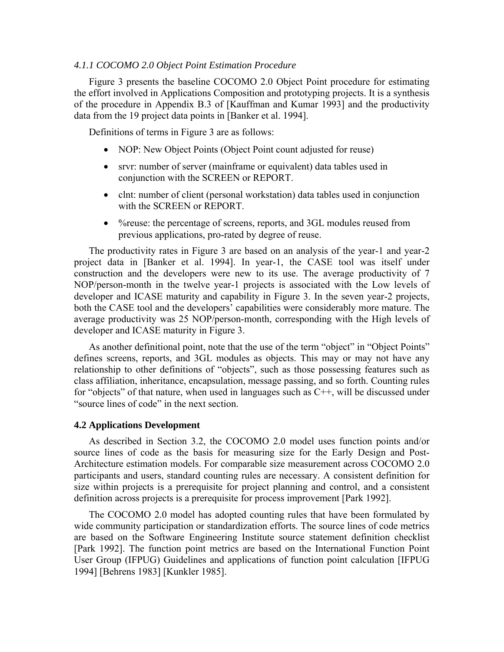#### *4.1.1 COCOMO 2.0 Object Point Estimation Procedure*

Figure 3 presents the baseline COCOMO 2.0 Object Point procedure for estimating the effort involved in Applications Composition and prototyping projects. It is a synthesis of the procedure in Appendix B.3 of [Kauffman and Kumar 1993] and the productivity data from the 19 project data points in [Banker et al. 1994].

Definitions of terms in Figure 3 are as follows:

- NOP: New Object Points (Object Point count adjusted for reuse)
- srvr: number of server (mainframe or equivalent) data tables used in conjunction with the SCREEN or REPORT.
- clnt: number of client (personal workstation) data tables used in conjunction with the SCREEN or REPORT.
- % % % % % % % weuse: the percentage of screens, reports, and 3GL modules reused from previous applications, pro-rated by degree of reuse.

The productivity rates in Figure 3 are based on an analysis of the year-1 and year-2 project data in [Banker et al. 1994]. In year-1, the CASE tool was itself under construction and the developers were new to its use. The average productivity of 7 NOP/person-month in the twelve year-1 projects is associated with the Low levels of developer and ICASE maturity and capability in Figure 3. In the seven year-2 projects, both the CASE tool and the developers' capabilities were considerably more mature. The average productivity was 25 NOP/person-month, corresponding with the High levels of developer and ICASE maturity in Figure 3.

As another definitional point, note that the use of the term "object" in "Object Points" defines screens, reports, and 3GL modules as objects. This may or may not have any relationship to other definitions of "objects", such as those possessing features such as class affiliation, inheritance, encapsulation, message passing, and so forth. Counting rules for "objects" of that nature, when used in languages such as C++, will be discussed under "source lines of code" in the next section.

#### **4.2 Applications Development**

As described in Section 3.2, the COCOMO 2.0 model uses function points and/or source lines of code as the basis for measuring size for the Early Design and Post-Architecture estimation models. For comparable size measurement across COCOMO 2.0 participants and users, standard counting rules are necessary. A consistent definition for size within projects is a prerequisite for project planning and control, and a consistent definition across projects is a prerequisite for process improvement [Park 1992].

The COCOMO 2.0 model has adopted counting rules that have been formulated by wide community participation or standardization efforts. The source lines of code metrics are based on the Software Engineering Institute source statement definition checklist [Park 1992]. The function point metrics are based on the International Function Point User Group (IFPUG) Guidelines and applications of function point calculation [IFPUG 1994] [Behrens 1983] [Kunkler 1985].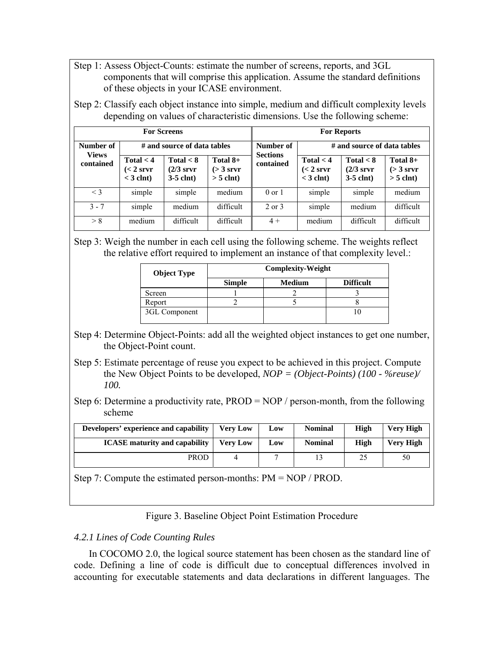- Step 1: Assess Object-Counts: estimate the number of screens, reports, and 3GL components that will comprise this application. Assume the standard definitions of these objects in your ICASE environment.
- Step 2: Classify each object instance into simple, medium and difficult complexity levels depending on values of characteristic dimensions. Use the following scheme:

|                           |                                                 | <b>For Screens</b>                           |                                          | <b>For Reports</b>           |                                                   |                                           |                                          |  |
|---------------------------|-------------------------------------------------|----------------------------------------------|------------------------------------------|------------------------------|---------------------------------------------------|-------------------------------------------|------------------------------------------|--|
| Number of                 | # and source of data tables                     |                                              |                                          | Number of                    | # and source of data tables                       |                                           |                                          |  |
| <b>Views</b><br>contained | Total < 4<br>(< 2 srvr<br>$<$ 3 clnt $\epsilon$ | Total $< 8$<br>$(2/3$ srvr<br>$3-5$ clnt $)$ | Total $8+$<br>$(> 3$ srvr<br>$>$ 5 clnt) | <b>Sections</b><br>contained | Total < 4<br>$(< 2$ srvr<br>$<$ 3 clnt $\epsilon$ | Total $< 8$<br>$(2/3$ srvr<br>$3-5$ clnt) | Total $8+$<br>$(> 3$ srvr<br>$>$ 5 clnt) |  |
| $\leq$ 3                  | simple                                          | simple                                       | medium                                   | $0$ or $1$                   | simple                                            | simple                                    | medium                                   |  |
| $3 - 7$                   | simple                                          | medium                                       | difficult                                | 2 or 3                       | simple                                            | medium                                    | difficult                                |  |
| > 8                       | medium                                          | difficult                                    | difficult                                | $4+$                         | medium                                            | difficult                                 | difficult                                |  |

Step 3: Weigh the number in each cell using the following scheme. The weights reflect the relative effort required to implement an instance of that complexity level.:

| <b>Object Type</b> | <b>Complexity-Weight</b> |               |                  |  |  |  |  |  |
|--------------------|--------------------------|---------------|------------------|--|--|--|--|--|
|                    | <b>Simple</b>            | <b>Medium</b> | <b>Difficult</b> |  |  |  |  |  |
| Screen             |                          |               |                  |  |  |  |  |  |
| Report             |                          |               |                  |  |  |  |  |  |
| 3GL Component      |                          |               |                  |  |  |  |  |  |

Step 4: Determine Object-Points: add all the weighted object instances to get one number, the Object-Point count.

Step 5: Estimate percentage of reuse you expect to be achieved in this project. Compute the New Object Points to be developed, *NOP = (Object-Points) (100 - %reuse)/ 100.* 

Step 6: Determine a productivity rate, PROD = NOP / person-month, from the following scheme

| Developers' experience and capability | <b>Very Low</b> | Low | <b>Nominal</b> | High | <b>Very High</b> |
|---------------------------------------|-----------------|-----|----------------|------|------------------|
| <b>ICASE</b> maturity and capability  | <b>Very Low</b> | Low | <b>Nominal</b> | High | <b>Very High</b> |
| <b>PROD</b>                           |                 |     |                |      | 50               |

Step 7: Compute the estimated person-months: PM = NOP / PROD.

Figure 3. Baseline Object Point Estimation Procedure

## *4.2.1 Lines of Code Counting Rules*

In COCOMO 2.0, the logical source statement has been chosen as the standard line of code. Defining a line of code is difficult due to conceptual differences involved in accounting for executable statements and data declarations in different languages. The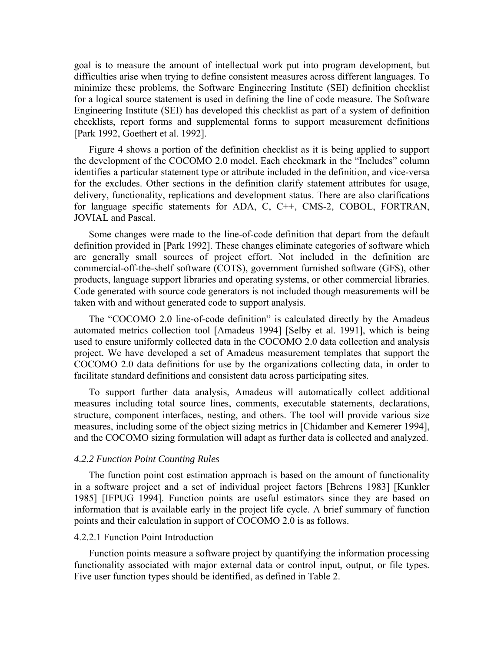goal is to measure the amount of intellectual work put into program development, but difficulties arise when trying to define consistent measures across different languages. To minimize these problems, the Software Engineering Institute (SEI) definition checklist for a logical source statement is used in defining the line of code measure. The Software Engineering Institute (SEI) has developed this checklist as part of a system of definition checklists, report forms and supplemental forms to support measurement definitions [Park 1992, Goethert et al. 1992].

Figure 4 shows a portion of the definition checklist as it is being applied to support the development of the COCOMO 2.0 model. Each checkmark in the "Includes" column identifies a particular statement type or attribute included in the definition, and vice-versa for the excludes. Other sections in the definition clarify statement attributes for usage, delivery, functionality, replications and development status. There are also clarifications for language specific statements for ADA, C, C++, CMS-2, COBOL, FORTRAN, JOVIAL and Pascal.

Some changes were made to the line-of-code definition that depart from the default definition provided in [Park 1992]. These changes eliminate categories of software which are generally small sources of project effort. Not included in the definition are commercial-off-the-shelf software (COTS), government furnished software (GFS), other products, language support libraries and operating systems, or other commercial libraries. Code generated with source code generators is not included though measurements will be taken with and without generated code to support analysis.

The "COCOMO 2.0 line-of-code definition" is calculated directly by the Amadeus automated metrics collection tool [Amadeus 1994] [Selby et al. 1991], which is being used to ensure uniformly collected data in the COCOMO 2.0 data collection and analysis project. We have developed a set of Amadeus measurement templates that support the COCOMO 2.0 data definitions for use by the organizations collecting data, in order to facilitate standard definitions and consistent data across participating sites.

To support further data analysis, Amadeus will automatically collect additional measures including total source lines, comments, executable statements, declarations, structure, component interfaces, nesting, and others. The tool will provide various size measures, including some of the object sizing metrics in [Chidamber and Kemerer 1994], and the COCOMO sizing formulation will adapt as further data is collected and analyzed.

#### *4.2.2 Function Point Counting Rules*

The function point cost estimation approach is based on the amount of functionality in a software project and a set of individual project factors [Behrens 1983] [Kunkler 1985] [IFPUG 1994]. Function points are useful estimators since they are based on information that is available early in the project life cycle. A brief summary of function points and their calculation in support of COCOMO 2.0 is as follows.

#### 4.2.2.1 Function Point Introduction

Function points measure a software project by quantifying the information processing functionality associated with major external data or control input, output, or file types. Five user function types should be identified, as defined in Table 2.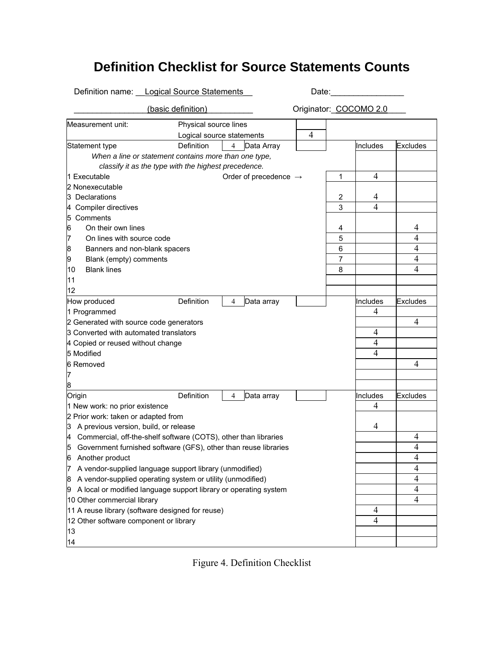## **Definition Checklist for Source Statements Counts**

Definition name: Logical Source Statements \_ Date: \_ \_ \_ \_ \_ \_ \_ \_ \_ \_ \_ \_ \_ \_ \_

| (basic definition)                                                   |                           |   |                                   | Originator: COCOMO 2.0 |   |                |                 |
|----------------------------------------------------------------------|---------------------------|---|-----------------------------------|------------------------|---|----------------|-----------------|
| Measurement unit:                                                    | Physical source lines     |   |                                   |                        |   |                |                 |
|                                                                      | Logical source statements |   |                                   | $\overline{4}$         |   |                |                 |
| Statement type                                                       | Definition                | 4 | Data Array                        |                        |   | Includes       | <b>Excludes</b> |
| When a line or statement contains more than one type,                |                           |   |                                   |                        |   |                |                 |
| classify it as the type with the highest precedence.                 |                           |   |                                   |                        |   |                |                 |
| 1 Executable                                                         |                           |   | Order of precedence $\rightarrow$ |                        | 1 | $\overline{4}$ |                 |
| 2 Nonexecutable                                                      |                           |   |                                   |                        |   |                |                 |
| 3 Declarations                                                       |                           |   |                                   |                        | 2 | 4              |                 |
| 4 Compiler directives                                                |                           |   |                                   |                        | 3 | 4              |                 |
| 5 Comments                                                           |                           |   |                                   |                        |   |                |                 |
| On their own lines<br>6                                              |                           |   |                                   |                        | 4 |                | 4               |
| On lines with source code<br>7                                       |                           |   |                                   |                        | 5 |                | 4               |
| 8<br>Banners and non-blank spacers                                   |                           |   |                                   |                        | 6 |                | $\overline{4}$  |
| 9<br>Blank (empty) comments                                          |                           |   |                                   |                        | 7 |                | 4               |
| <b>Blank lines</b><br>10                                             |                           |   |                                   |                        | 8 |                | $\overline{4}$  |
| 11                                                                   |                           |   |                                   |                        |   |                |                 |
| 12                                                                   |                           |   |                                   |                        |   |                |                 |
| How produced                                                         | Definition                | 4 | Data array                        |                        |   | Includes       | <b>Excludes</b> |
| 1 Programmed                                                         |                           |   |                                   |                        |   | $\overline{4}$ |                 |
| 2 Generated with source code generators                              |                           |   |                                   |                        |   |                | $\overline{4}$  |
| 3 Converted with automated translators                               |                           |   |                                   |                        |   | 4              |                 |
| 4 Copied or reused without change                                    |                           |   |                                   |                        |   | 4              |                 |
| 5 Modified                                                           |                           |   |                                   |                        |   | $\overline{4}$ |                 |
| 6 Removed                                                            |                           |   |                                   |                        |   |                | 4               |
| 7                                                                    |                           |   |                                   |                        |   |                |                 |
| 8                                                                    |                           |   |                                   |                        |   |                |                 |
| Origin                                                               | Definition                | 4 | Data array                        |                        |   | Includes       | <b>Excludes</b> |
| 1 New work: no prior existence                                       |                           |   |                                   |                        |   | 4              |                 |
| 2 Prior work: taken or adapted from                                  |                           |   |                                   |                        |   |                |                 |
| 3 A previous version, build, or release                              |                           |   |                                   |                        |   | 4              |                 |
| Commercial, off-the-shelf software (COTS), other than libraries<br>4 |                           |   |                                   |                        |   |                | 4               |
| Government furnished software (GFS), other than reuse libraries<br>5 |                           |   |                                   |                        |   |                | $\overline{4}$  |
| 6 Another product                                                    |                           |   |                                   |                        |   |                | 4               |
| 7 A vendor-supplied language support library (unmodified)            |                           |   |                                   |                        |   |                | $\overline{4}$  |
| 8 A vendor-supplied operating system or utility (unmodified)         |                           |   |                                   |                        |   |                | 4               |
| 9 A local or modified language support library or operating system   |                           |   |                                   |                        |   |                | 4               |
| 10 Other commercial library                                          |                           |   |                                   |                        |   |                | 4               |
| 11 A reuse library (software designed for reuse)                     |                           |   |                                   |                        |   | 4              |                 |
| 12 Other software component or library                               |                           |   |                                   |                        |   | 4              |                 |
| 13                                                                   |                           |   |                                   |                        |   |                |                 |
| 14                                                                   |                           |   |                                   |                        |   |                |                 |

Figure 4. Definition Checklist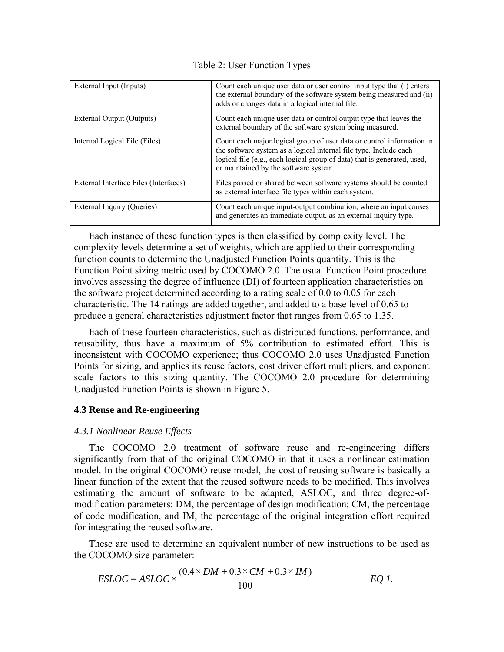| External Input (Inputs)               | Count each unique user data or user control input type that (i) enters<br>the external boundary of the software system being measured and (ii)<br>adds or changes data in a logical internal file.                                                              |
|---------------------------------------|-----------------------------------------------------------------------------------------------------------------------------------------------------------------------------------------------------------------------------------------------------------------|
| External Output (Outputs)             | Count each unique user data or control output type that leaves the<br>external boundary of the software system being measured.                                                                                                                                  |
| Internal Logical File (Files)         | Count each major logical group of user data or control information in<br>the software system as a logical internal file type. Include each<br>logical file (e.g., each logical group of data) that is generated, used,<br>or maintained by the software system. |
| External Interface Files (Interfaces) | Files passed or shared between software systems should be counted<br>as external interface file types within each system.                                                                                                                                       |
| External Inquiry (Queries)            | Count each unique input-output combination, where an input causes<br>and generates an immediate output, as an external inquiry type.                                                                                                                            |

Each instance of these function types is then classified by complexity level. The complexity levels determine a set of weights, which are applied to their corresponding function counts to determine the Unadjusted Function Points quantity. This is the Function Point sizing metric used by COCOMO 2.0. The usual Function Point procedure involves assessing the degree of influence (DI) of fourteen application characteristics on the software project determined according to a rating scale of 0.0 to 0.05 for each characteristic. The 14 ratings are added together, and added to a base level of 0.65 to produce a general characteristics adjustment factor that ranges from 0.65 to 1.35.

Each of these fourteen characteristics, such as distributed functions, performance, and reusability, thus have a maximum of 5% contribution to estimated effort. This is inconsistent with COCOMO experience; thus COCOMO 2.0 uses Unadjusted Function Points for sizing, and applies its reuse factors, cost driver effort multipliers, and exponent scale factors to this sizing quantity. The COCOMO 2.0 procedure for determining Unadjusted Function Points is shown in Figure 5.

#### **4.3 Reuse and Re-engineering**

#### *4.3.1 Nonlinear Reuse Effects*

The COCOMO 2.0 treatment of software reuse and re-engineering differs significantly from that of the original COCOMO in that it uses a nonlinear estimation model. In the original COCOMO reuse model, the cost of reusing software is basically a linear function of the extent that the reused software needs to be modified. This involves estimating the amount of software to be adapted, ASLOC, and three degree-ofmodification parameters: DM, the percentage of design modification; CM, the percentage of code modification, and IM, the percentage of the original integration effort required for integrating the reused software.

These are used to determine an equivalent number of new instructions to be used as the COCOMO size parameter:

$$
ESLOC = ASLOC \times \frac{(0.4 \times DM + 0.3 \times CM + 0.3 \times IM)}{100}
$$
EQ1.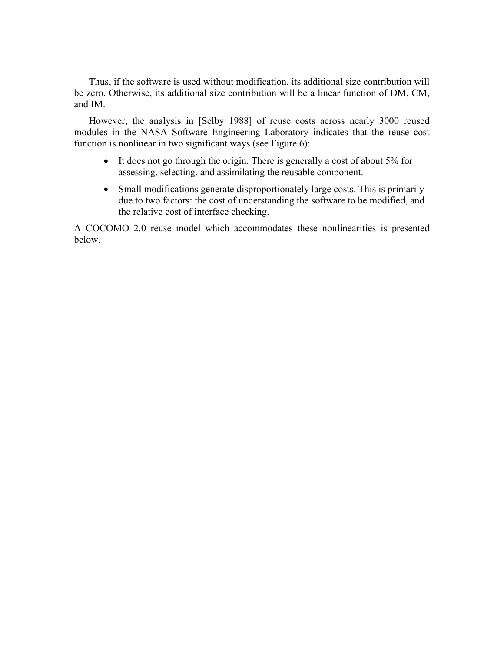Thus, if the software is used without modification, its additional size contribution will be zero. Otherwise, its additional size contribution will be a linear function of DM, CM, and IM.

However, the analysis in [Selby 1988] of reuse costs across nearly 3000 reused modules in the NASA Software Engineering Laboratory indicates that the reuse cost function is nonlinear in two significant ways (see Figure 6):

- It does not go through the origin. There is generally a cost of about 5% for assessing, selecting, and assimilating the reusable component.
- Small modifications generate disproportionately large costs. This is primarily due to two factors: the cost of understanding the software to be modified, and the relative cost of interface checking.

A COCOMO 2.0 reuse model which accommodates these nonlinearities is presented below.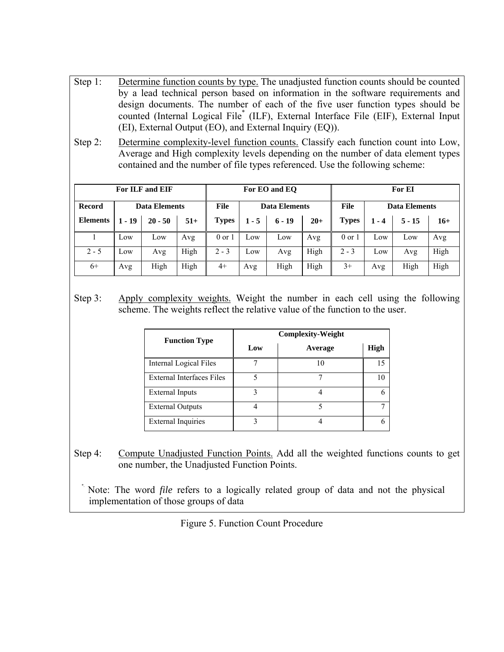- Step 1: Determine function counts by type. The unadjusted function counts should be counted by a lead technical person based on information in the software requirements and design documents. The number of each of the five user function types should be counted (Internal Logical File\* (ILF), External Interface File (EIF), External Input (EI), External Output (EO), and External Inquiry (EQ)).
- Step 2: Determine complexity-level function counts. Classify each function count into Low, Average and High complexity levels depending on the number of data element types contained and the number of file types referenced. Use the following scheme:

|                 | For ILF and EIF      |           |       |                      | For EO and EQ |          |       |                      |         | For EI   |       |
|-----------------|----------------------|-----------|-------|----------------------|---------------|----------|-------|----------------------|---------|----------|-------|
| <b>Record</b>   | <b>Data Elements</b> |           | File  | <b>Data Elements</b> |               | File     |       | <b>Data Elements</b> |         |          |       |
| <b>Elements</b> | $1 - 19$             | $20 - 50$ | $51+$ | <b>Types</b>         | $1 - 5$       | $6 - 19$ | $20+$ | <b>Types</b>         | $1 - 4$ | $5 - 15$ | $16+$ |
|                 | Low                  | Low       | Avg   | $0$ or $1$           | Low           | Low      | Avg   | $0$ or $1$           | Low     | Low      | Avg   |
| $2 - 5$         | Low                  | Avg       | High  | $2 - 3$              | Low           | Avg      | High  | $2 - 3$              | Low     | Avg      | High  |
| $6+$            | Avg                  | High      | High  | 4+                   | Avg           | High     | High  | $3+$                 | Avg     | High     | High  |

Step 3: Apply complexity weights. Weight the number in each cell using the following scheme. The weights reflect the relative value of the function to the user.

| <b>Function Type</b>             |     | <b>Complexity-Weight</b> |      |  |  |  |  |
|----------------------------------|-----|--------------------------|------|--|--|--|--|
|                                  | Low | Average                  | High |  |  |  |  |
| Internal Logical Files           |     | 10                       | 15   |  |  |  |  |
| <b>External Interfaces Files</b> |     |                          | 10   |  |  |  |  |
| External Inputs                  | 3   |                          | 6    |  |  |  |  |
| <b>External Outputs</b>          |     |                          | 7    |  |  |  |  |
| <b>External Inquiries</b>        | 3   |                          | 6    |  |  |  |  |

Step 4: Compute Unadjusted Function Points. Add all the weighted functions counts to get one number, the Unadjusted Function Points.

Note: The word *file* refers to a logically related group of data and not the physical implementation of those groups of data

Figure 5. Function Count Procedure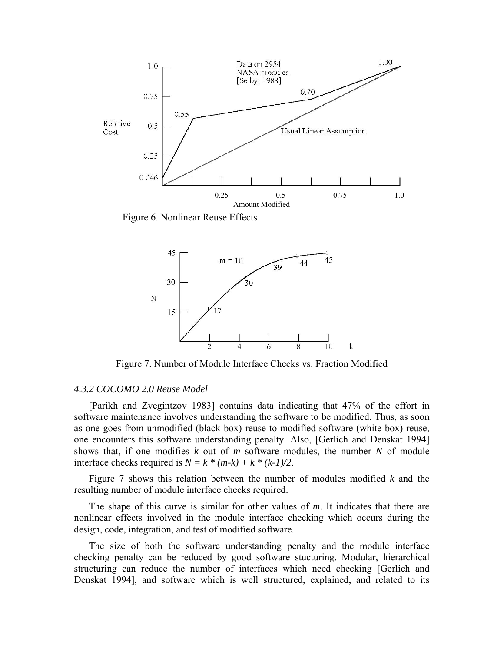

Figure 6. Nonlinear Reuse Effects



Figure 7. Number of Module Interface Checks vs. Fraction Modified

#### *4.3.2 COCOMO 2.0 Reuse Model*

[Parikh and Zvegintzov 1983] contains data indicating that 47% of the effort in software maintenance involves understanding the software to be modified. Thus, as soon as one goes from unmodified (black-box) reuse to modified-software (white-box) reuse, one encounters this software understanding penalty. Also, [Gerlich and Denskat 1994] shows that, if one modifies *k* out of *m* software modules, the number *N* of module interface checks required is  $N = k * (m-k) + k * (k-1)/2$ .

Figure 7 shows this relation between the number of modules modified *k* and the resulting number of module interface checks required.

The shape of this curve is similar for other values of *m*. It indicates that there are nonlinear effects involved in the module interface checking which occurs during the design, code, integration, and test of modified software.

The size of both the software understanding penalty and the module interface checking penalty can be reduced by good software stucturing. Modular, hierarchical structuring can reduce the number of interfaces which need checking [Gerlich and Denskat 1994], and software which is well structured, explained, and related to its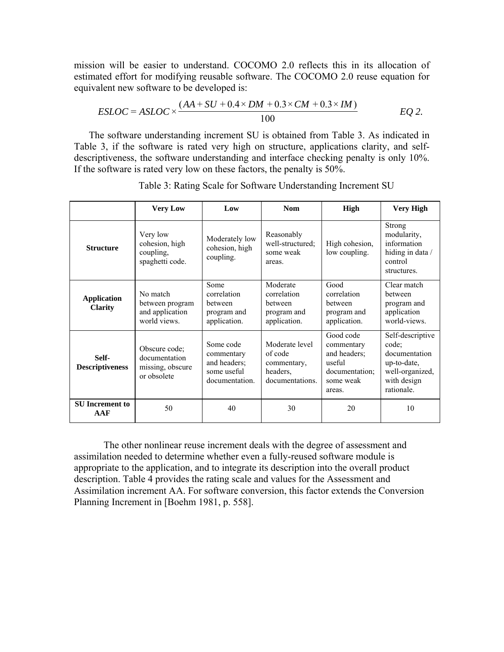mission will be easier to understand. COCOMO 2.0 reflects this in its allocation of estimated effort for modifying reusable software. The COCOMO 2.0 reuse equation for equivalent new software to be developed is:

$$
ESLOC = ASLOC \times \frac{(AA + SU + 0.4 \times DM + 0.3 \times CM + 0.3 \times IM)}{100}
$$
 *EQ 2.*

The software understanding increment SU is obtained from Table 3. As indicated in Table 3, if the software is rated very high on structure, applications clarity, and selfdescriptiveness, the software understanding and interface checking penalty is only 10%. If the software is rated very low on these factors, the penalty is 50%.

|                                      | <b>Very Low</b>                                                   | Low                                                                      | <b>Nom</b>                                                              | High                                                                                       | <b>Very High</b>                                                                                          |
|--------------------------------------|-------------------------------------------------------------------|--------------------------------------------------------------------------|-------------------------------------------------------------------------|--------------------------------------------------------------------------------------------|-----------------------------------------------------------------------------------------------------------|
| <b>Structure</b>                     | Very low<br>cohesion, high<br>coupling,<br>spaghetti code.        | Moderately low<br>cohesion, high<br>coupling.                            | Reasonably<br>well-structured;<br>some weak<br>areas.                   | High cohesion,<br>low coupling.                                                            | <b>Strong</b><br>modularity,<br>information<br>hiding in data /<br>control<br>structures.                 |
| <b>Application</b><br><b>Clarity</b> | No match<br>between program<br>and application<br>world views.    | Some<br>correlation<br>between<br>program and<br>application.            | Moderate<br>correlation<br>between<br>program and<br>application.       | Good<br>correlation<br>between<br>program and<br>application.                              | Clear match<br>between<br>program and<br>application<br>world-views.                                      |
| Self-<br><b>Descriptiveness</b>      | Obscure code;<br>documentation<br>missing, obscure<br>or obsolete | Some code<br>commentary<br>and headers;<br>some useful<br>documentation. | Moderate level<br>of code<br>commentary,<br>headers.<br>documentations. | Good code<br>commentary<br>and headers;<br>useful<br>documentation;<br>some weak<br>areas. | Self-descriptive<br>code;<br>documentation<br>up-to-date,<br>well-organized,<br>with design<br>rationale. |
| <b>SU</b> Increment to<br>AAF        | 50                                                                | 40                                                                       | 30                                                                      | 20                                                                                         | 10                                                                                                        |

Table 3: Rating Scale for Software Understanding Increment SU

The other nonlinear reuse increment deals with the degree of assessment and assimilation needed to determine whether even a fully-reused software module is appropriate to the application, and to integrate its description into the overall product description. Table 4 provides the rating scale and values for the Assessment and Assimilation increment AA. For software conversion, this factor extends the Conversion Planning Increment in [Boehm 1981, p. 558].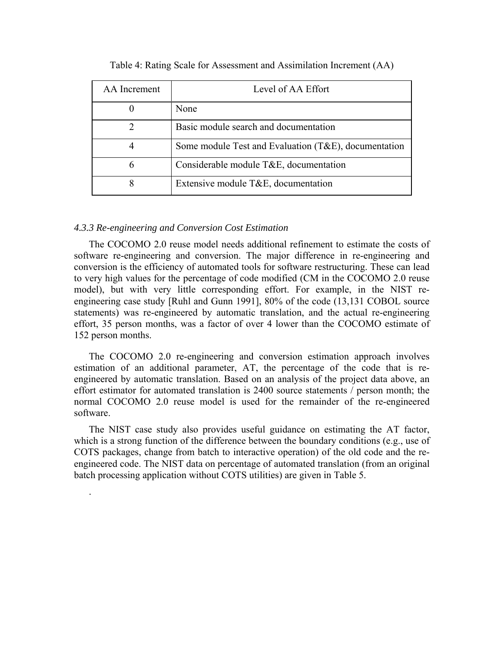| AA Increment | Level of AA Effort                                       |
|--------------|----------------------------------------------------------|
|              | None                                                     |
|              | Basic module search and documentation                    |
|              | Some module Test and Evaluation $(T\&E)$ , documentation |
| 6            | Considerable module T&E, documentation                   |
|              | Extensive module T&E, documentation                      |

Table 4: Rating Scale for Assessment and Assimilation Increment (AA)

#### *4.3.3 Re-engineering and Conversion Cost Estimation*

.

The COCOMO 2.0 reuse model needs additional refinement to estimate the costs of software re-engineering and conversion. The major difference in re-engineering and conversion is the efficiency of automated tools for software restructuring. These can lead to very high values for the percentage of code modified (CM in the COCOMO 2.0 reuse model), but with very little corresponding effort. For example, in the NIST reengineering case study [Ruhl and Gunn 1991], 80% of the code (13,131 COBOL source statements) was re-engineered by automatic translation, and the actual re-engineering effort, 35 person months, was a factor of over 4 lower than the COCOMO estimate of 152 person months.

The COCOMO 2.0 re-engineering and conversion estimation approach involves estimation of an additional parameter, AT, the percentage of the code that is reengineered by automatic translation. Based on an analysis of the project data above, an effort estimator for automated translation is 2400 source statements / person month; the normal COCOMO 2.0 reuse model is used for the remainder of the re-engineered software.

The NIST case study also provides useful guidance on estimating the AT factor, which is a strong function of the difference between the boundary conditions (e.g., use of COTS packages, change from batch to interactive operation) of the old code and the reengineered code. The NIST data on percentage of automated translation (from an original batch processing application without COTS utilities) are given in Table 5.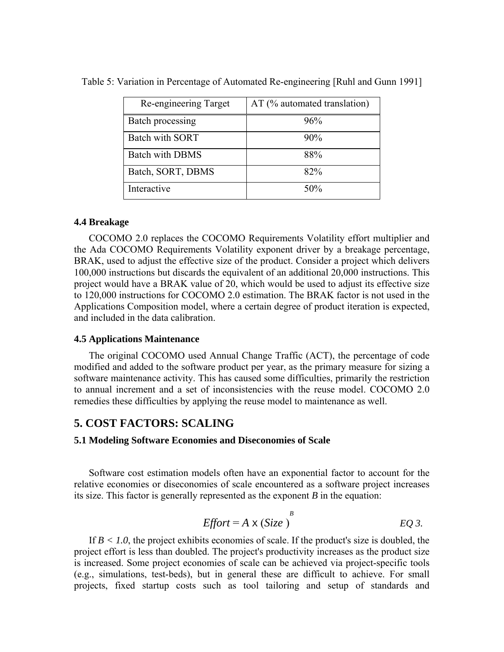| Re-engineering Target  | $AT$ (% automated translation) |
|------------------------|--------------------------------|
| Batch processing       | 96%                            |
| <b>Batch with SORT</b> | 90%                            |
| <b>Batch with DBMS</b> | 88%                            |
| Batch, SORT, DBMS      | 82%                            |
| Interactive            | 50%                            |

Table 5: Variation in Percentage of Automated Re-engineering [Ruhl and Gunn 1991]

#### **4.4 Breakage**

COCOMO 2.0 replaces the COCOMO Requirements Volatility effort multiplier and the Ada COCOMO Requirements Volatility exponent driver by a breakage percentage, BRAK, used to adjust the effective size of the product. Consider a project which delivers 100,000 instructions but discards the equivalent of an additional 20,000 instructions. This project would have a BRAK value of 20, which would be used to adjust its effective size to 120,000 instructions for COCOMO 2.0 estimation. The BRAK factor is not used in the Applications Composition model, where a certain degree of product iteration is expected, and included in the data calibration.

#### **4.5 Applications Maintenance**

The original COCOMO used Annual Change Traffic (ACT), the percentage of code modified and added to the software product per year, as the primary measure for sizing a software maintenance activity. This has caused some difficulties, primarily the restriction to annual increment and a set of inconsistencies with the reuse model. COCOMO 2.0 remedies these difficulties by applying the reuse model to maintenance as well.

## **5. COST FACTORS: SCALING**

#### **5.1 Modeling Software Economies and Diseconomies of Scale**

Software cost estimation models often have an exponential factor to account for the relative economies or diseconomies of scale encountered as a software project increases its size. This factor is generally represented as the exponent *B* in the equation:

$$
Effort = A \times (Size)^{B}
$$
EQ3.

If *B < 1.0*, the project exhibits economies of scale. If the product's size is doubled, the project effort is less than doubled. The project's productivity increases as the product size is increased. Some project economies of scale can be achieved via project-specific tools (e.g., simulations, test-beds), but in general these are difficult to achieve. For small projects, fixed startup costs such as tool tailoring and setup of standards and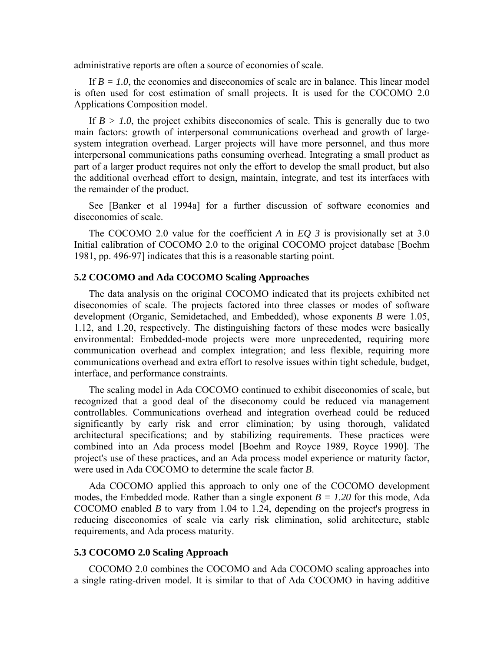administrative reports are often a source of economies of scale.

If  $B = 1.0$ , the economies and diseconomies of scale are in balance. This linear model is often used for cost estimation of small projects. It is used for the COCOMO 2.0 Applications Composition model.

If  $B > 1.0$ , the project exhibits diseconomies of scale. This is generally due to two main factors: growth of interpersonal communications overhead and growth of largesystem integration overhead. Larger projects will have more personnel, and thus more interpersonal communications paths consuming overhead. Integrating a small product as part of a larger product requires not only the effort to develop the small product, but also the additional overhead effort to design, maintain, integrate, and test its interfaces with the remainder of the product.

See [Banker et al 1994a] for a further discussion of software economies and diseconomies of scale.

The COCOMO 2.0 value for the coefficient *A* in *EQ 3* is provisionally set at 3.0 Initial calibration of COCOMO 2.0 to the original COCOMO project database [Boehm 1981, pp. 496-97] indicates that this is a reasonable starting point.

#### **5.2 COCOMO and Ada COCOMO Scaling Approaches**

The data analysis on the original COCOMO indicated that its projects exhibited net diseconomies of scale. The projects factored into three classes or modes of software development (Organic, Semidetached, and Embedded), whose exponents *B* were 1.05, 1.12, and 1.20, respectively. The distinguishing factors of these modes were basically environmental: Embedded-mode projects were more unprecedented, requiring more communication overhead and complex integration; and less flexible, requiring more communications overhead and extra effort to resolve issues within tight schedule, budget, interface, and performance constraints.

The scaling model in Ada COCOMO continued to exhibit diseconomies of scale, but recognized that a good deal of the diseconomy could be reduced via management controllables. Communications overhead and integration overhead could be reduced significantly by early risk and error elimination; by using thorough, validated architectural specifications; and by stabilizing requirements. These practices were combined into an Ada process model [Boehm and Royce 1989, Royce 1990]. The project's use of these practices, and an Ada process model experience or maturity factor, were used in Ada COCOMO to determine the scale factor *B*.

Ada COCOMO applied this approach to only one of the COCOMO development modes, the Embedded mode. Rather than a single exponent  $B = 1.20$  for this mode, Ada COCOMO enabled *B* to vary from 1.04 to 1.24, depending on the project's progress in reducing diseconomies of scale via early risk elimination, solid architecture, stable requirements, and Ada process maturity.

#### **5.3 COCOMO 2.0 Scaling Approach**

COCOMO 2.0 combines the COCOMO and Ada COCOMO scaling approaches into a single rating-driven model. It is similar to that of Ada COCOMO in having additive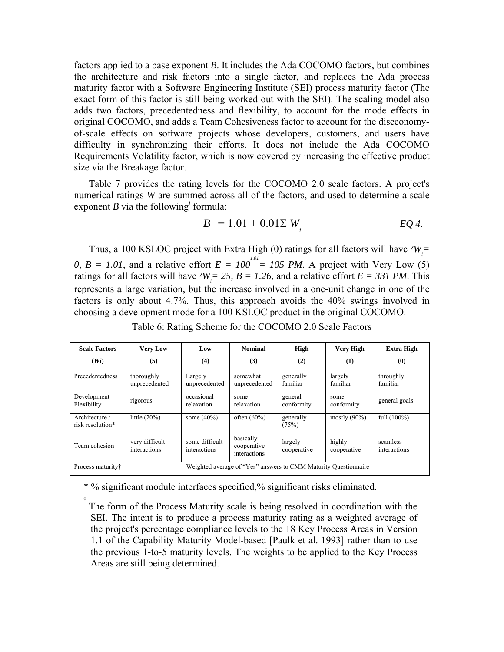factors applied to a base exponent *B*. It includes the Ada COCOMO factors, but combines the architecture and risk factors into a single factor, and replaces the Ada process maturity factor with a Software Engineering Institute (SEI) process maturity factor (The exact form of this factor is still being worked out with the SEI). The scaling model also adds two factors, precedentedness and flexibility, to account for the mode effects in original COCOMO, and adds a Team Cohesiveness factor to account for the diseconomyof-scale effects on software projects whose developers, customers, and users have difficulty in synchronizing their efforts. It does not include the Ada COCOMO Requirements Volatility factor, which is now covered by increasing the effective product size via the Breakage factor.

Table 7 provides the rating levels for the COCOMO 2.0 scale factors. A project's numerical ratings *W* are summed across all of the factors, and used to determine a scale exponent *B* via the following<sup>*i*</sup> formula:

$$
B = 1.01 + 0.01\Sigma W_{i}
$$
 *EQ 4.*

Thus, a 100 KSLOC project with Extra High (0) ratings for all factors will have  $\frac{2W_i}{T}$ *0, B = 1.01*, and a relative effort  $E = 100^{1.01} = 105$  *PM*. A project with Very Low (5) ratings for all factors will have  $^2W = 25$ ,  $B = 1.26$ , and a relative effort  $E = 331$  *PM*. This represents a large variation, but the increase involved in a one-unit change in one of the factors is only about 4.7%. Thus, this approach avoids the 40% swings involved in choosing a development mode for a 100 KSLOC product in the original COCOMO.

| <b>Scale Factors</b>               | <b>Very Low</b>                | Low                            | <b>Nominal</b>                                                  | <b>High</b>            | <b>Very High</b>      | <b>Extra High</b>        |
|------------------------------------|--------------------------------|--------------------------------|-----------------------------------------------------------------|------------------------|-----------------------|--------------------------|
| $(W_i)$                            | (5)                            | (4)                            | (3)                                                             | (2)                    | (1)                   | $\left( 0\right)$        |
| Precedentedness                    | thoroughly<br>unprecedented    | Largely<br>unprecedented       | somewhat<br>unprecedented                                       | generally<br>familiar  | largely<br>familiar   | throughly<br>familiar    |
| Development<br>Flexibility         | rigorous                       | occasional<br>relaxation       | some<br>relaxation                                              | general<br>conformity  | some<br>conformity    | general goals            |
| Architecture /<br>risk resolution* | little $(20\%)$                | some $(40\%)$                  | often $(60\%)$                                                  | generally<br>(75%)     | mostly $(90\%)$       | full $(100\%)$           |
| Team cohesion                      | very difficult<br>interactions | some difficult<br>interactions | basically<br>cooperative<br>interactions                        | largely<br>cooperative | highly<br>cooperative | seamless<br>interactions |
| Process maturity†                  |                                |                                | Weighted average of "Yes" answers to CMM Maturity Ouestionnaire |                        |                       |                          |

Table 6: Rating Scheme for the COCOMO 2.0 Scale Factors

\* % significant module interfaces specified,% significant risks eliminated.

† The form of the Process Maturity scale is being resolved in coordination with the SEI. The intent is to produce a process maturity rating as a weighted average of the project's percentage compliance levels to the 18 Key Process Areas in Version 1.1 of the Capability Maturity Model-based [Paulk et al. 1993] rather than to use the previous 1-to-5 maturity levels. The weights to be applied to the Key Process Areas are still being determined.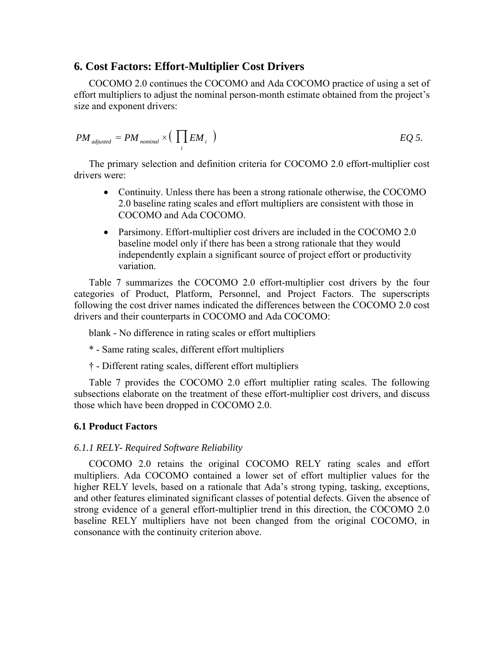## **6. Cost Factors: Effort-Multiplier Cost Drivers**

COCOMO 2.0 continues the COCOMO and Ada COCOMO practice of using a set of effort multipliers to adjust the nominal person-month estimate obtained from the project's size and exponent drivers:

$$
PM_{adjusted} = PM_{nominal} \times (\prod_i EM_i) \qquad \qquad EQ 5.
$$

The primary selection and definition criteria for COCOMO 2.0 effort-multiplier cost drivers were:

- Continuity. Unless there has been a strong rationale otherwise, the COCOMO 2.0 baseline rating scales and effort multipliers are consistent with those in COCOMO and Ada COCOMO.
- Parsimony. Effort-multiplier cost drivers are included in the COCOMO 2.0 baseline model only if there has been a strong rationale that they would independently explain a significant source of project effort or productivity variation.

Table 7 summarizes the COCOMO 2.0 effort-multiplier cost drivers by the four categories of Product, Platform, Personnel, and Project Factors. The superscripts following the cost driver names indicated the differences between the COCOMO 2.0 cost drivers and their counterparts in COCOMO and Ada COCOMO:

blank - No difference in rating scales or effort multipliers

- \* Same rating scales, different effort multipliers
- † Different rating scales, different effort multipliers

Table 7 provides the COCOMO 2.0 effort multiplier rating scales. The following subsections elaborate on the treatment of these effort-multiplier cost drivers, and discuss those which have been dropped in COCOMO 2.0.

#### **6.1 Product Factors**

#### *6.1.1 RELY- Required Software Reliability*

COCOMO 2.0 retains the original COCOMO RELY rating scales and effort multipliers. Ada COCOMO contained a lower set of effort multiplier values for the higher RELY levels, based on a rationale that Ada's strong typing, tasking, exceptions, and other features eliminated significant classes of potential defects. Given the absence of strong evidence of a general effort-multiplier trend in this direction, the COCOMO 2.0 baseline RELY multipliers have not been changed from the original COCOMO, in consonance with the continuity criterion above.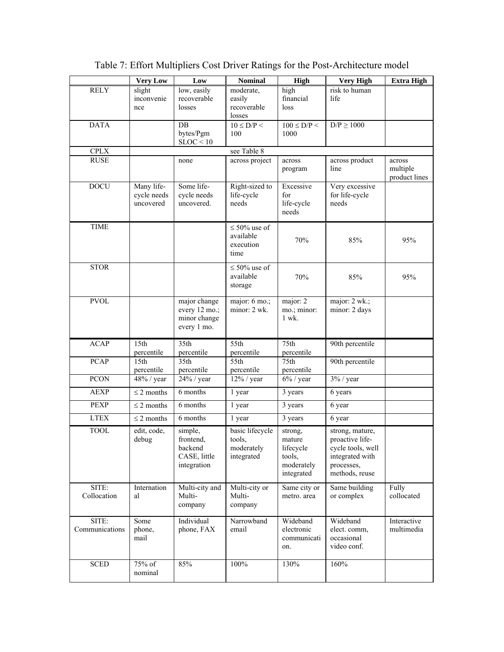|                | <b>Very Low</b>          | Low                       | <b>Nominal</b>                  | High                | <b>Very High</b>                     | <b>Extra High</b>         |
|----------------|--------------------------|---------------------------|---------------------------------|---------------------|--------------------------------------|---------------------------|
| <b>RELY</b>    | slight                   | low, easily               | moderate,                       | high                | risk to human                        |                           |
|                | inconvenie<br>nce        | recoverable<br>losses     | easily<br>recoverable           | financial<br>loss   | life                                 |                           |
|                |                          |                           | losses                          |                     |                                      |                           |
| <b>DATA</b>    |                          | DB                        | $10 \leq D/P <$                 | $100 \leq D/P <$    | $D/P \geq 1000$                      |                           |
|                |                          | bytes/Pgm                 | 100                             | 1000                |                                      |                           |
| CPLX           |                          | SLOC < 10                 | see Table 8                     |                     |                                      |                           |
| <b>RUSE</b>    |                          | none                      | across project                  | across              | across product                       | across                    |
|                |                          |                           |                                 | program             | line                                 | multiple<br>product lines |
| <b>DOCU</b>    | Many life-               | Some life-                | Right-sized to                  | Excessive           | Very excessive                       |                           |
|                | cycle needs<br>uncovered | cycle needs<br>uncovered. | life-cycle<br>needs             | for<br>life-cycle   | for life-cycle<br>needs              |                           |
|                |                          |                           |                                 | needs               |                                      |                           |
| <b>TIME</b>    |                          |                           |                                 |                     |                                      |                           |
|                |                          |                           | $\leq 50\%$ use of<br>available |                     |                                      |                           |
|                |                          |                           | execution                       | 70%                 | 85%                                  | 95%                       |
|                |                          |                           | time                            |                     |                                      |                           |
| <b>STOR</b>    |                          |                           | $\leq 50\%$ use of              |                     |                                      |                           |
|                |                          |                           | available                       | 70%                 | 85%                                  | 95%                       |
|                |                          |                           | storage                         |                     |                                      |                           |
| <b>PVOL</b>    |                          | major change              | major: 6 mo.;                   | major: 2            | major: 2 wk.;                        |                           |
|                |                          | every 12 mo.;             | minor: 2 wk.                    | mo.; minor:         | minor: 2 days                        |                           |
|                |                          | minor change              |                                 | $1$ wk.             |                                      |                           |
|                |                          | every 1 mo.               |                                 |                     |                                      |                           |
| <b>ACAP</b>    | 15th                     | 35th                      | 55th                            | 75th                | 90th percentile                      |                           |
| <b>PCAP</b>    | percentile<br>15th       | percentile<br>35th        | percentile<br>55th              | percentile<br>75th  | 90th percentile                      |                           |
|                | percentile               | percentile                | percentile                      | percentile          |                                      |                           |
| <b>PCON</b>    | 48% / year               | 24% / year                | $12\%$ / year                   | $6\%$ / year        | $3\%$ / year                         |                           |
| <b>AEXP</b>    | $\leq$ 2 months          | 6 months                  | 1 year                          | 3 years             | 6 years                              |                           |
| <b>PEXP</b>    | $\leq$ 2 months          | 6 months                  | 1 year                          | 3 years             | 6 year                               |                           |
| <b>LTEX</b>    | $\leq$ 2 months          | 6 months                  | 1 year                          | 3 years             | 6 year                               |                           |
| <b>TOOL</b>    | edit, code,              | simple,                   | basic lifecycle                 | strong,             | strong, mature,                      |                           |
|                | debug                    | frontend.                 | tools,                          | mature              | proactive life-                      |                           |
|                |                          | backend<br>CASE, little   | moderately<br>integrated        | lifecycle<br>tools. | cycle tools, well<br>integrated with |                           |
|                |                          | integration               |                                 | moderately          | processes,                           |                           |
|                |                          |                           |                                 | integrated          | methods, reuse                       |                           |
| SITE:          | Internation              | Multi-city and            | Multi-city or                   | Same city or        | Same building                        | Fully                     |
| Collocation    | al                       | Multi-                    | Multi-                          | metro, area         | or complex                           | collocated                |
|                |                          | company                   | company                         |                     |                                      |                           |
| SITE:          | Some                     | Individual                | Narrowband                      | Wideband            | Wideband                             | Interactive               |
| Communications | phone,                   | phone, FAX                | email                           | electronic          | elect. comm,                         | multimedia                |
|                | mail                     |                           |                                 | communicati         | occasional                           |                           |
|                |                          |                           |                                 | on.                 | video conf.                          |                           |
| <b>SCED</b>    | 75% of                   | 85%                       | $100\%$                         | 130%                | $160\%$                              |                           |
|                | nominal                  |                           |                                 |                     |                                      |                           |

|  |  | Table 7: Effort Multipliers Cost Driver Ratings for the Post-Architecture model |  |
|--|--|---------------------------------------------------------------------------------|--|
|  |  |                                                                                 |  |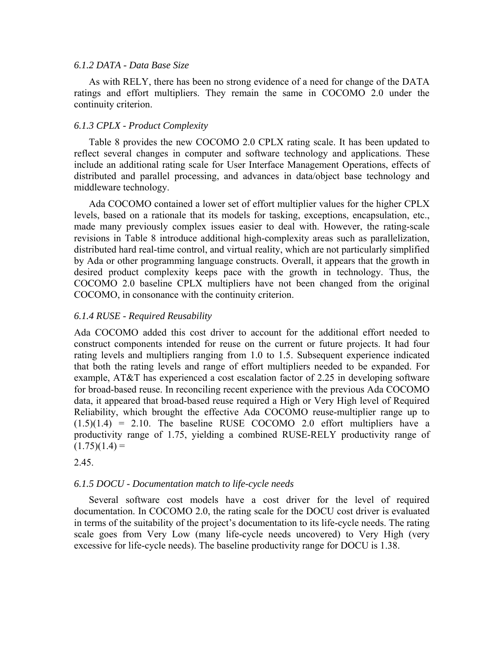#### *6.1.2 DATA - Data Base Size*

As with RELY, there has been no strong evidence of a need for change of the DATA ratings and effort multipliers. They remain the same in COCOMO 2.0 under the continuity criterion.

#### *6.1.3 CPLX - Product Complexity*

Table 8 provides the new COCOMO 2.0 CPLX rating scale. It has been updated to reflect several changes in computer and software technology and applications. These include an additional rating scale for User Interface Management Operations, effects of distributed and parallel processing, and advances in data/object base technology and middleware technology.

Ada COCOMO contained a lower set of effort multiplier values for the higher CPLX levels, based on a rationale that its models for tasking, exceptions, encapsulation, etc., made many previously complex issues easier to deal with. However, the rating-scale revisions in Table 8 introduce additional high-complexity areas such as parallelization, distributed hard real-time control, and virtual reality, which are not particularly simplified by Ada or other programming language constructs. Overall, it appears that the growth in desired product complexity keeps pace with the growth in technology. Thus, the COCOMO 2.0 baseline CPLX multipliers have not been changed from the original COCOMO, in consonance with the continuity criterion.

#### *6.1.4 RUSE - Required Reusability*

Ada COCOMO added this cost driver to account for the additional effort needed to construct components intended for reuse on the current or future projects. It had four rating levels and multipliers ranging from 1.0 to 1.5. Subsequent experience indicated that both the rating levels and range of effort multipliers needed to be expanded. For example, AT&T has experienced a cost escalation factor of 2.25 in developing software for broad-based reuse. In reconciling recent experience with the previous Ada COCOMO data, it appeared that broad-based reuse required a High or Very High level of Required Reliability, which brought the effective Ada COCOMO reuse-multiplier range up to  $(1.5)(1.4)$  = 2.10. The baseline RUSE COCOMO 2.0 effort multipliers have a productivity range of 1.75, yielding a combined RUSE-RELY productivity range of  $(1.75)(1.4) =$ 

## 2.45.

#### *6.1.5 DOCU - Documentation match to life-cycle needs*

Several software cost models have a cost driver for the level of required documentation. In COCOMO 2.0, the rating scale for the DOCU cost driver is evaluated in terms of the suitability of the project's documentation to its life-cycle needs. The rating scale goes from Very Low (many life-cycle needs uncovered) to Very High (very excessive for life-cycle needs). The baseline productivity range for DOCU is 1.38.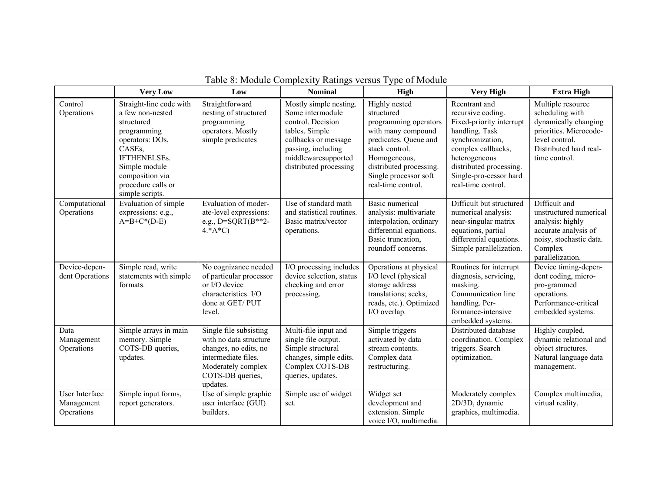|                                            | <b>Very Low</b>                                                                                                                                                                                           | Low                                                                                                                                                    | <b>Nominal</b>                                                                                                                                                                   | <b>High</b>                                                                                                                                                                                                     | <b>Very High</b>                                                                                                                                                                                                       | <b>Extra High</b>                                                                                                                                   |
|--------------------------------------------|-----------------------------------------------------------------------------------------------------------------------------------------------------------------------------------------------------------|--------------------------------------------------------------------------------------------------------------------------------------------------------|----------------------------------------------------------------------------------------------------------------------------------------------------------------------------------|-----------------------------------------------------------------------------------------------------------------------------------------------------------------------------------------------------------------|------------------------------------------------------------------------------------------------------------------------------------------------------------------------------------------------------------------------|-----------------------------------------------------------------------------------------------------------------------------------------------------|
| Control<br>Operations                      | Straight-line code with<br>a few non-nested<br>structured<br>programming<br>operators: DOs,<br>CASEs,<br><b>IFTHENELSEs.</b><br>Simple module<br>composition via<br>procedure calls or<br>simple scripts. | Straightforward<br>nesting of structured<br>programming<br>operators. Mostly<br>simple predicates                                                      | Mostly simple nesting.<br>Some intermodule<br>control. Decision<br>tables. Simple<br>callbacks or message<br>passing, including<br>middlewaresupported<br>distributed processing | Highly nested<br>structured<br>programming operators<br>with many compound<br>predicates. Queue and<br>stack control.<br>Homogeneous,<br>distributed processing.<br>Single processor soft<br>real-time control. | Reentrant and<br>recursive coding.<br>Fixed-priority interrupt<br>handling. Task<br>synchronization,<br>complex callbacks,<br>heterogeneous<br>distributed processing.<br>Single-pro-cessor hard<br>real-time control. | Multiple resource<br>scheduling with<br>dynamically changing<br>priorities. Microcode-<br>level control.<br>Distributed hard real-<br>time control. |
| Computational<br>Operations                | Evaluation of simple<br>expressions: e.g.,<br>$A=B+C^*(D-E)$                                                                                                                                              | Evaluation of moder-<br>ate-level expressions:<br>e.g., $D = SQRT(B**2-$<br>$4.*A*C$                                                                   | Use of standard math<br>and statistical routines.<br>Basic matrix/vector<br>operations.                                                                                          | <b>Basic</b> numerical<br>analysis: multivariate<br>interpolation, ordinary<br>differential equations.<br>Basic truncation,<br>roundoff concerns.                                                               | Difficult but structured<br>numerical analysis:<br>near-singular matrix<br>equations, partial<br>differential equations.<br>Simple parallelization.                                                                    | Difficult and<br>unstructured numerical<br>analysis: highly<br>accurate analysis of<br>noisy, stochastic data.<br>Complex<br>parallelization.       |
| Device-depen-<br>dent Operations           | Simple read, write<br>statements with simple<br>formats.                                                                                                                                                  | No cognizance needed<br>of particular processor<br>or I/O device<br>characteristics. I/O<br>done at GET/PUT<br>level.                                  | I/O processing includes<br>device selection, status<br>checking and error<br>processing.                                                                                         | Operations at physical<br>I/O level (physical<br>storage address<br>translations; seeks,<br>reads, etc.). Optimized<br>I/O overlap.                                                                             | Routines for interrupt<br>diagnosis, servicing,<br>masking.<br>Communication line<br>handling. Per-<br>formance-intensive<br>embedded systems.                                                                         | Device timing-depen-<br>dent coding, micro-<br>pro-grammed<br>operations.<br>Performance-critical<br>embedded systems.                              |
| Data<br>Management<br>Operations           | Simple arrays in main<br>memory. Simple<br>COTS-DB queries,<br>updates.                                                                                                                                   | Single file subsisting<br>with no data structure<br>changes, no edits, no<br>intermediate files.<br>Moderately complex<br>COTS-DB queries,<br>updates. | Multi-file input and<br>single file output.<br>Simple structural<br>changes, simple edits.<br>Complex COTS-DB<br>queries, updates.                                               | Simple triggers<br>activated by data<br>stream contents.<br>Complex data<br>restructuring.                                                                                                                      | Distributed database<br>coordination. Complex<br>triggers. Search<br>optimization.                                                                                                                                     | Highly coupled,<br>dynamic relational and<br>object structures.<br>Natural language data<br>management.                                             |
| User Interface<br>Management<br>Operations | Simple input forms,<br>report generators.                                                                                                                                                                 | Use of simple graphic<br>user interface (GUI)<br>builders.                                                                                             | Simple use of widget<br>set.                                                                                                                                                     | Widget set<br>development and<br>extension. Simple<br>voice I/O, multimedia.                                                                                                                                    | Moderately complex<br>2D/3D, dynamic<br>graphics, multimedia.                                                                                                                                                          | Complex multimedia,<br>virtual reality.                                                                                                             |

Table 8: Module Complexity Ratings versus Type of Module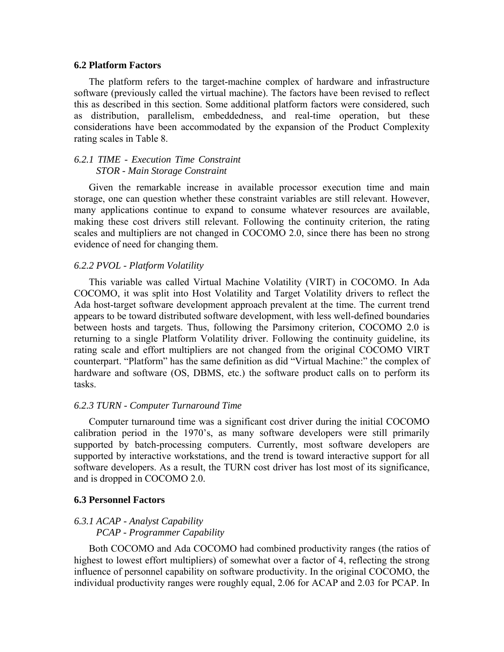#### **6.2 Platform Factors**

The platform refers to the target-machine complex of hardware and infrastructure software (previously called the virtual machine). The factors have been revised to reflect this as described in this section. Some additional platform factors were considered, such as distribution, parallelism, embeddedness, and real-time operation, but these considerations have been accommodated by the expansion of the Product Complexity rating scales in Table 8.

#### *6.2.1 TIME - Execution Time Constraint STOR - Main Storage Constraint*

Given the remarkable increase in available processor execution time and main storage, one can question whether these constraint variables are still relevant. However, many applications continue to expand to consume whatever resources are available, making these cost drivers still relevant. Following the continuity criterion, the rating scales and multipliers are not changed in COCOMO 2.0, since there has been no strong evidence of need for changing them.

#### *6.2.2 PVOL - Platform Volatility*

This variable was called Virtual Machine Volatility (VIRT) in COCOMO. In Ada COCOMO, it was split into Host Volatility and Target Volatility drivers to reflect the Ada host-target software development approach prevalent at the time. The current trend appears to be toward distributed software development, with less well-defined boundaries between hosts and targets. Thus, following the Parsimony criterion, COCOMO 2.0 is returning to a single Platform Volatility driver. Following the continuity guideline, its rating scale and effort multipliers are not changed from the original COCOMO VIRT counterpart. "Platform" has the same definition as did "Virtual Machine:" the complex of hardware and software (OS, DBMS, etc.) the software product calls on to perform its tasks.

#### *6.2.3 TURN - Computer Turnaround Time*

Computer turnaround time was a significant cost driver during the initial COCOMO calibration period in the 1970's, as many software developers were still primarily supported by batch-processing computers. Currently, most software developers are supported by interactive workstations, and the trend is toward interactive support for all software developers. As a result, the TURN cost driver has lost most of its significance, and is dropped in COCOMO 2.0.

#### **6.3 Personnel Factors**

#### *6.3.1 ACAP - Analyst Capability PCAP - Programmer Capability*

Both COCOMO and Ada COCOMO had combined productivity ranges (the ratios of highest to lowest effort multipliers) of somewhat over a factor of 4, reflecting the strong influence of personnel capability on software productivity. In the original COCOMO, the individual productivity ranges were roughly equal, 2.06 for ACAP and 2.03 for PCAP. In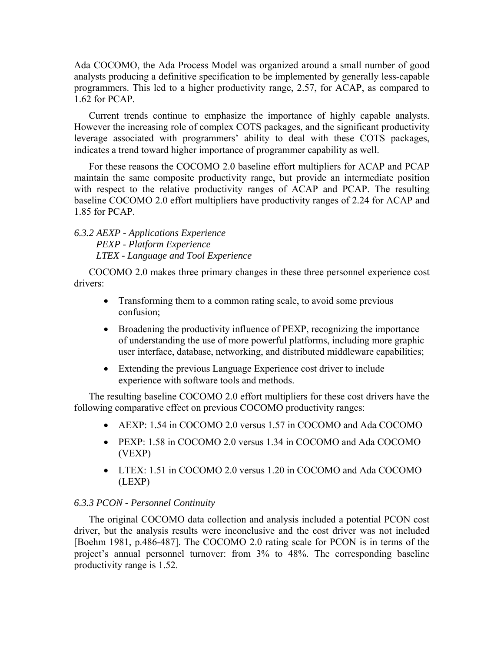Ada COCOMO, the Ada Process Model was organized around a small number of good analysts producing a definitive specification to be implemented by generally less-capable programmers. This led to a higher productivity range, 2.57, for ACAP, as compared to 1.62 for PCAP.

Current trends continue to emphasize the importance of highly capable analysts. However the increasing role of complex COTS packages, and the significant productivity leverage associated with programmers' ability to deal with these COTS packages, indicates a trend toward higher importance of programmer capability as well.

For these reasons the COCOMO 2.0 baseline effort multipliers for ACAP and PCAP maintain the same composite productivity range, but provide an intermediate position with respect to the relative productivity ranges of ACAP and PCAP. The resulting baseline COCOMO 2.0 effort multipliers have productivity ranges of 2.24 for ACAP and 1.85 for PCAP.

*6.3.2 AEXP - Applications Experience PEXP - Platform Experience LTEX - Language and Tool Experience* 

COCOMO 2.0 makes three primary changes in these three personnel experience cost drivers:

- Transforming them to a common rating scale, to avoid some previous confusion;
- Broadening the productivity influence of PEXP, recognizing the importance of understanding the use of more powerful platforms, including more graphic user interface, database, networking, and distributed middleware capabilities;
- Extending the previous Language Experience cost driver to include experience with software tools and methods.

The resulting baseline COCOMO 2.0 effort multipliers for these cost drivers have the following comparative effect on previous COCOMO productivity ranges:

- AEXP: 1.54 in COCOMO 2.0 versus 1.57 in COCOMO and Ada COCOMO
- PEXP: 1.58 in COCOMO 2.0 versus 1.34 in COCOMO and Ada COCOMO (VEXP)
- LTEX: 1.51 in COCOMO 2.0 versus 1.20 in COCOMO and Ada COCOMO (LEXP)

## *6.3.3 PCON - Personnel Continuity*

The original COCOMO data collection and analysis included a potential PCON cost driver, but the analysis results were inconclusive and the cost driver was not included [Boehm 1981, p.486-487]. The COCOMO 2.0 rating scale for PCON is in terms of the project's annual personnel turnover: from 3% to 48%. The corresponding baseline productivity range is 1.52.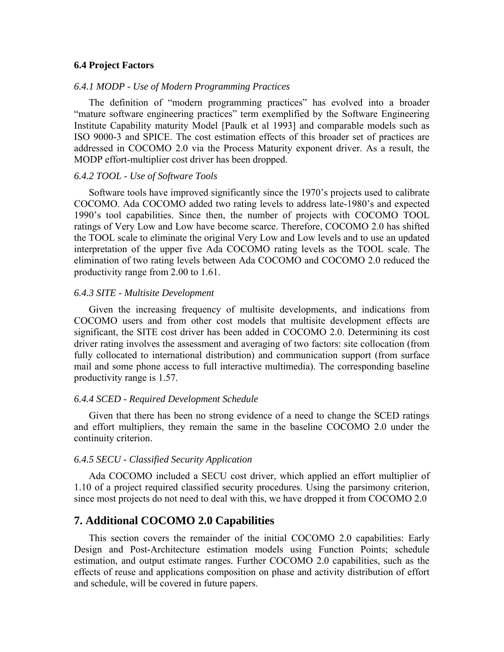#### **6.4 Project Factors**

#### *6.4.1 MODP - Use of Modern Programming Practices*

The definition of "modern programming practices" has evolved into a broader "mature software engineering practices" term exemplified by the Software Engineering Institute Capability maturity Model [Paulk et al 1993] and comparable models such as ISO 9000-3 and SPICE. The cost estimation effects of this broader set of practices are addressed in COCOMO 2.0 via the Process Maturity exponent driver. As a result, the MODP effort-multiplier cost driver has been dropped.

#### *6.4.2 TOOL - Use of Software Tools*

Software tools have improved significantly since the 1970's projects used to calibrate COCOMO. Ada COCOMO added two rating levels to address late-1980's and expected 1990's tool capabilities. Since then, the number of projects with COCOMO TOOL ratings of Very Low and Low have become scarce. Therefore, COCOMO 2.0 has shifted the TOOL scale to eliminate the original Very Low and Low levels and to use an updated interpretation of the upper five Ada COCOMO rating levels as the TOOL scale. The elimination of two rating levels between Ada COCOMO and COCOMO 2.0 reduced the productivity range from 2.00 to 1.61.

#### *6.4.3 SITE - Multisite Development*

Given the increasing frequency of multisite developments, and indications from COCOMO users and from other cost models that multisite development effects are significant, the SITE cost driver has been added in COCOMO 2.0. Determining its cost driver rating involves the assessment and averaging of two factors: site collocation (from fully collocated to international distribution) and communication support (from surface mail and some phone access to full interactive multimedia). The corresponding baseline productivity range is 1.57.

#### *6.4.4 SCED - Required Development Schedule*

Given that there has been no strong evidence of a need to change the SCED ratings and effort multipliers, they remain the same in the baseline COCOMO 2.0 under the continuity criterion.

#### *6.4.5 SECU - Classified Security Application*

Ada COCOMO included a SECU cost driver, which applied an effort multiplier of 1.10 of a project required classified security procedures. Using the parsimony criterion, since most projects do not need to deal with this, we have dropped it from COCOMO 2.0

## **7. Additional COCOMO 2.0 Capabilities**

This section covers the remainder of the initial COCOMO 2.0 capabilities: Early Design and Post-Architecture estimation models using Function Points; schedule estimation, and output estimate ranges. Further COCOMO 2.0 capabilities, such as the effects of reuse and applications composition on phase and activity distribution of effort and schedule, will be covered in future papers.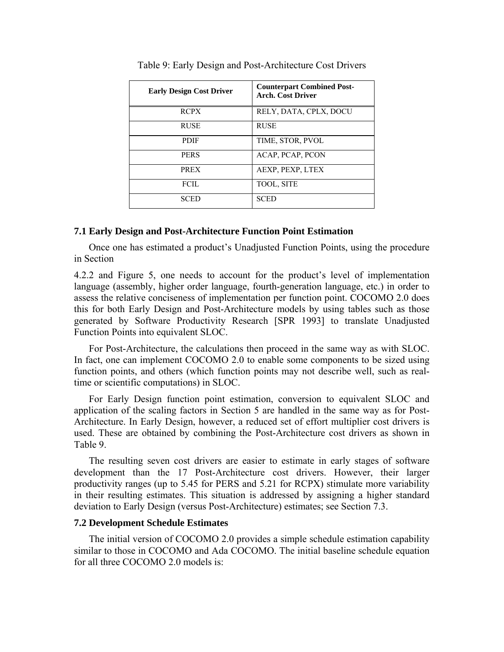| <b>Early Design Cost Driver</b> | <b>Counterpart Combined Post-</b><br><b>Arch. Cost Driver</b> |
|---------------------------------|---------------------------------------------------------------|
| <b>RCPX</b>                     | RELY, DATA, CPLX, DOCU                                        |
| <b>RUSE</b>                     | <b>RUSE</b>                                                   |
| <b>PDIF</b>                     | TIME, STOR, PVOL                                              |
| <b>PERS</b>                     | ACAP, PCAP, PCON                                              |
| <b>PREX</b>                     | AEXP, PEXP, LTEX                                              |
| FCIL                            | TOOL, SITE                                                    |
| SCED                            | <b>SCED</b>                                                   |

Table 9: Early Design and Post-Architecture Cost Drivers

#### **7.1 Early Design and Post-Architecture Function Point Estimation**

Once one has estimated a product's Unadjusted Function Points, using the procedure in Section

4.2.2 and Figure 5, one needs to account for the product's level of implementation language (assembly, higher order language, fourth-generation language, etc.) in order to assess the relative conciseness of implementation per function point. COCOMO 2.0 does this for both Early Design and Post-Architecture models by using tables such as those generated by Software Productivity Research [SPR 1993] to translate Unadjusted Function Points into equivalent SLOC.

For Post-Architecture, the calculations then proceed in the same way as with SLOC. In fact, one can implement COCOMO 2.0 to enable some components to be sized using function points, and others (which function points may not describe well, such as realtime or scientific computations) in SLOC.

For Early Design function point estimation, conversion to equivalent SLOC and application of the scaling factors in Section 5 are handled in the same way as for Post-Architecture. In Early Design, however, a reduced set of effort multiplier cost drivers is used. These are obtained by combining the Post-Architecture cost drivers as shown in Table 9.

The resulting seven cost drivers are easier to estimate in early stages of software development than the 17 Post-Architecture cost drivers. However, their larger productivity ranges (up to 5.45 for PERS and 5.21 for RCPX) stimulate more variability in their resulting estimates. This situation is addressed by assigning a higher standard deviation to Early Design (versus Post-Architecture) estimates; see Section 7.3.

## **7.2 Development Schedule Estimates**

The initial version of COCOMO 2.0 provides a simple schedule estimation capability similar to those in COCOMO and Ada COCOMO. The initial baseline schedule equation for all three COCOMO 2.0 models is: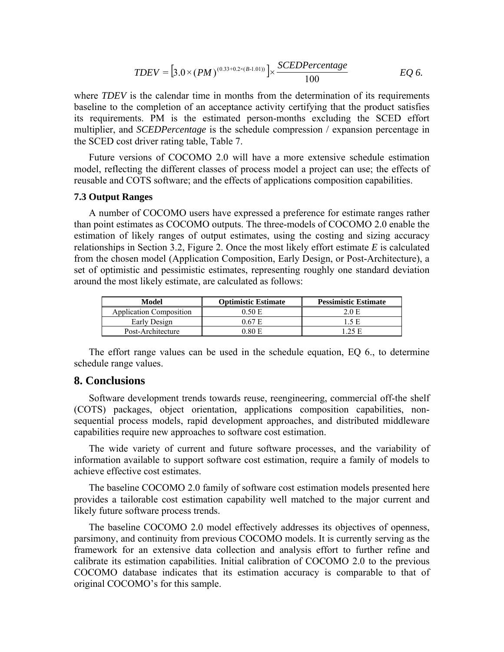$$
TDEV = [3.0 \times (PM)^{(0.33+0.2 \times (B-1.01))}] \times \frac{SCEDPercentage}{100}
$$
 *EQ 6.*

where *TDEV* is the calendar time in months from the determination of its requirements baseline to the completion of an acceptance activity certifying that the product satisfies its requirements. PM is the estimated person-months excluding the SCED effort multiplier, and *SCEDPercentage* is the schedule compression / expansion percentage in the SCED cost driver rating table, Table 7.

Future versions of COCOMO 2.0 will have a more extensive schedule estimation model, reflecting the different classes of process model a project can use; the effects of reusable and COTS software; and the effects of applications composition capabilities.

#### **7.3 Output Ranges**

A number of COCOMO users have expressed a preference for estimate ranges rather than point estimates as COCOMO outputs. The three-models of COCOMO 2.0 enable the estimation of likely ranges of output estimates, using the costing and sizing accuracy relationships in Section 3.2, Figure 2. Once the most likely effort estimate *E* is calculated from the chosen model (Application Composition, Early Design, or Post-Architecture), a set of optimistic and pessimistic estimates, representing roughly one standard deviation around the most likely estimate, are calculated as follows:

| Model                          | <b>Optimistic Estimate</b> | <b>Pessimistic Estimate</b> |
|--------------------------------|----------------------------|-----------------------------|
| <b>Application Composition</b> | 0.50 E                     | 2.0 E                       |
| Early Design                   | 0 67 E                     | 1.5 E                       |
| Post-Architecture              | 0 80 E                     | -25 E                       |

The effort range values can be used in the schedule equation, EQ 6., to determine schedule range values.

## **8. Conclusions**

Software development trends towards reuse, reengineering, commercial off-the shelf (COTS) packages, object orientation, applications composition capabilities, nonsequential process models, rapid development approaches, and distributed middleware capabilities require new approaches to software cost estimation.

The wide variety of current and future software processes, and the variability of information available to support software cost estimation, require a family of models to achieve effective cost estimates.

The baseline COCOMO 2.0 family of software cost estimation models presented here provides a tailorable cost estimation capability well matched to the major current and likely future software process trends.

The baseline COCOMO 2.0 model effectively addresses its objectives of openness, parsimony, and continuity from previous COCOMO models. It is currently serving as the framework for an extensive data collection and analysis effort to further refine and calibrate its estimation capabilities. Initial calibration of COCOMO 2.0 to the previous COCOMO database indicates that its estimation accuracy is comparable to that of original COCOMO's for this sample.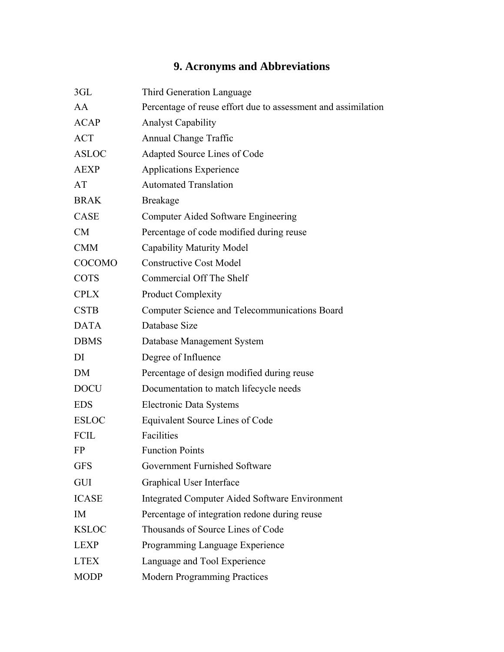# **9. Acronyms and Abbreviations**

| 3GL          | Third Generation Language                                     |
|--------------|---------------------------------------------------------------|
| AA           | Percentage of reuse effort due to assessment and assimilation |
| <b>ACAP</b>  | <b>Analyst Capability</b>                                     |
| <b>ACT</b>   | Annual Change Traffic                                         |
| <b>ASLOC</b> | Adapted Source Lines of Code                                  |
| <b>AEXP</b>  | <b>Applications Experience</b>                                |
| AT           | <b>Automated Translation</b>                                  |
| <b>BRAK</b>  | <b>Breakage</b>                                               |
| CASE         | Computer Aided Software Engineering                           |
| <b>CM</b>    | Percentage of code modified during reuse                      |
| <b>CMM</b>   | <b>Capability Maturity Model</b>                              |
| COCOMO       | <b>Constructive Cost Model</b>                                |
| <b>COTS</b>  | Commercial Off The Shelf                                      |
| <b>CPLX</b>  | <b>Product Complexity</b>                                     |
| <b>CSTB</b>  | Computer Science and Telecommunications Board                 |
| <b>DATA</b>  | Database Size                                                 |
| <b>DBMS</b>  | Database Management System                                    |
| DI           | Degree of Influence                                           |
| <b>DM</b>    | Percentage of design modified during reuse                    |
| <b>DOCU</b>  | Documentation to match lifecycle needs                        |
| <b>EDS</b>   | Electronic Data Systems                                       |
| <b>ESLOC</b> | Equivalent Source Lines of Code                               |
| FCIL         | Facilities                                                    |
| FP           | <b>Function Points</b>                                        |
| <b>GFS</b>   | Government Furnished Software                                 |
| <b>GUI</b>   | Graphical User Interface                                      |
| <b>ICASE</b> | <b>Integrated Computer Aided Software Environment</b>         |
| IM           | Percentage of integration redone during reuse                 |
| <b>KSLOC</b> | Thousands of Source Lines of Code                             |
| <b>LEXP</b>  | Programming Language Experience                               |
| <b>LTEX</b>  | Language and Tool Experience                                  |
| <b>MODP</b>  | <b>Modern Programming Practices</b>                           |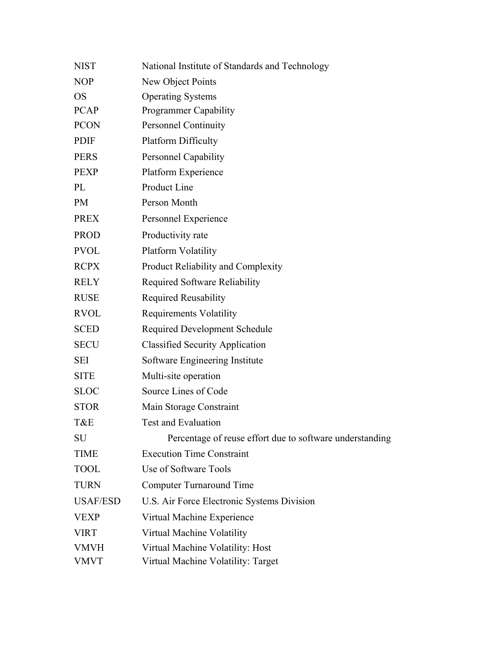| <b>NIST</b>     | National Institute of Standards and Technology           |
|-----------------|----------------------------------------------------------|
| <b>NOP</b>      | New Object Points                                        |
| <b>OS</b>       | <b>Operating Systems</b>                                 |
| <b>PCAP</b>     | <b>Programmer Capability</b>                             |
| <b>PCON</b>     | <b>Personnel Continuity</b>                              |
| <b>PDIF</b>     | <b>Platform Difficulty</b>                               |
| <b>PERS</b>     | <b>Personnel Capability</b>                              |
| <b>PEXP</b>     | Platform Experience                                      |
| PL              | Product Line                                             |
| PM              | Person Month                                             |
| <b>PREX</b>     | Personnel Experience                                     |
| <b>PROD</b>     | Productivity rate                                        |
| <b>PVOL</b>     | Platform Volatility                                      |
| <b>RCPX</b>     | Product Reliability and Complexity                       |
| <b>RELY</b>     | <b>Required Software Reliability</b>                     |
| <b>RUSE</b>     | <b>Required Reusability</b>                              |
| <b>RVOL</b>     | <b>Requirements Volatility</b>                           |
| <b>SCED</b>     | <b>Required Development Schedule</b>                     |
| <b>SECU</b>     | <b>Classified Security Application</b>                   |
| <b>SEI</b>      | Software Engineering Institute                           |
| <b>SITE</b>     | Multi-site operation                                     |
| <b>SLOC</b>     | Source Lines of Code                                     |
| <b>STOR</b>     | Main Storage Constraint                                  |
| T&E             | <b>Test and Evaluation</b>                               |
| SU              | Percentage of reuse effort due to software understanding |
| <b>TIME</b>     | <b>Execution Time Constraint</b>                         |
| TOOL            | Use of Software Tools                                    |
| <b>TURN</b>     | Computer Turnaround Time                                 |
| <b>USAF/ESD</b> | U.S. Air Force Electronic Systems Division               |
| <b>VEXP</b>     | Virtual Machine Experience                               |
| <b>VIRT</b>     | Virtual Machine Volatility                               |
| <b>VMVH</b>     | Virtual Machine Volatility: Host                         |
| <b>VMVT</b>     | Virtual Machine Volatility: Target                       |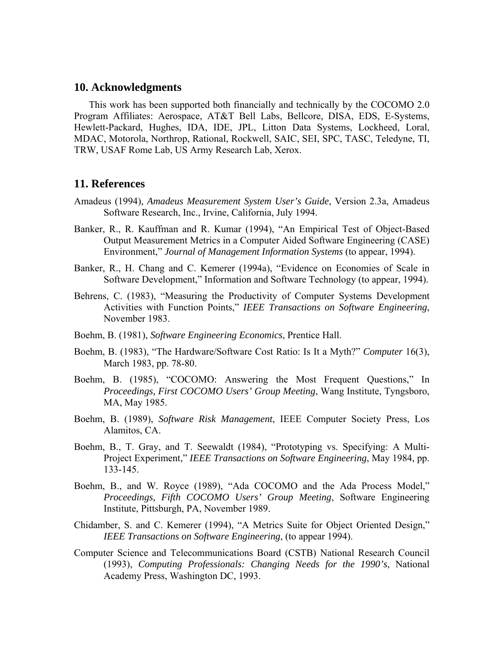### **10. Acknowledgments**

This work has been supported both financially and technically by the COCOMO 2.0 Program Affiliates: Aerospace, AT&T Bell Labs, Bellcore, DISA, EDS, E-Systems, Hewlett-Packard, Hughes, IDA, IDE, JPL, Litton Data Systems, Lockheed, Loral, MDAC, Motorola, Northrop, Rational, Rockwell, SAIC, SEI, SPC, TASC, Teledyne, TI, TRW, USAF Rome Lab, US Army Research Lab, Xerox.

## **11. References**

- Amadeus (1994), *Amadeus Measurement System User's Guide*, Version 2.3a, Amadeus Software Research, Inc., Irvine, California, July 1994.
- Banker, R., R. Kauffman and R. Kumar (1994), "An Empirical Test of Object-Based Output Measurement Metrics in a Computer Aided Software Engineering (CASE) Environment," *Journal of Management Information Systems* (to appear, 1994).
- Banker, R., H. Chang and C. Kemerer (1994a), "Evidence on Economies of Scale in Software Development," Information and Software Technology (to appear, 1994).
- Behrens, C. (1983), "Measuring the Productivity of Computer Systems Development Activities with Function Points," *IEEE Transactions on Software Engineering*, November 1983.
- Boehm, B. (1981), *Software Engineering Economics*, Prentice Hall.
- Boehm, B. (1983), "The Hardware/Software Cost Ratio: Is It a Myth?" *Computer* 16(3), March 1983, pp. 78-80.
- Boehm, B. (1985), "COCOMO: Answering the Most Frequent Questions," In *Proceedings, First COCOMO Users' Group Meeting*, Wang Institute, Tyngsboro, MA, May 1985.
- Boehm, B. (1989), *Software Risk Management*, IEEE Computer Society Press, Los Alamitos, CA.
- Boehm, B., T. Gray, and T. Seewaldt (1984), "Prototyping vs. Specifying: A Multi-Project Experiment," *IEEE Transactions on Software Engineering*, May 1984, pp. 133-145.
- Boehm, B., and W. Royce (1989), "Ada COCOMO and the Ada Process Model," *Proceedings, Fifth COCOMO Users' Group Meeting*, Software Engineering Institute, Pittsburgh, PA, November 1989.
- Chidamber, S. and C. Kemerer (1994), "A Metrics Suite for Object Oriented Design," *IEEE Transactions on Software Engineering*, (to appear 1994).
- Computer Science and Telecommunications Board (CSTB) National Research Council (1993), *Computing Professionals: Changing Needs for the 1990's*, National Academy Press, Washington DC, 1993.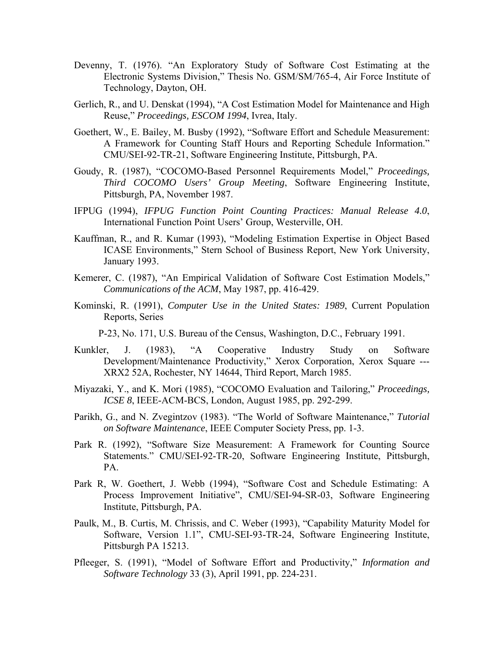- Devenny, T. (1976). "An Exploratory Study of Software Cost Estimating at the Electronic Systems Division," Thesis No. GSM/SM/765-4, Air Force Institute of Technology, Dayton, OH.
- Gerlich, R., and U. Denskat (1994), "A Cost Estimation Model for Maintenance and High Reuse," *Proceedings, ESCOM 1994*, Ivrea, Italy.
- Goethert, W., E. Bailey, M. Busby (1992), "Software Effort and Schedule Measurement: A Framework for Counting Staff Hours and Reporting Schedule Information." CMU/SEI-92-TR-21, Software Engineering Institute, Pittsburgh, PA.
- Goudy, R. (1987), "COCOMO-Based Personnel Requirements Model," *Proceedings, Third COCOMO Users' Group Meeting*, Software Engineering Institute, Pittsburgh, PA, November 1987.
- IFPUG (1994), *IFPUG Function Point Counting Practices: Manual Release 4.0*, International Function Point Users' Group, Westerville, OH.
- Kauffman, R., and R. Kumar (1993), "Modeling Estimation Expertise in Object Based ICASE Environments," Stern School of Business Report, New York University, January 1993.
- Kemerer, C. (1987), "An Empirical Validation of Software Cost Estimation Models," *Communications of the ACM*, May 1987, pp. 416-429.
- Kominski, R. (1991), *Computer Use in the United States: 1989*, Current Population Reports, Series
	- P-23, No. 171, U.S. Bureau of the Census, Washington, D.C., February 1991.
- Kunkler, J. (1983), "A Cooperative Industry Study on Software Development/Maintenance Productivity," Xerox Corporation, Xerox Square --- XRX2 52A, Rochester, NY 14644, Third Report, March 1985.
- Miyazaki, Y., and K. Mori (1985), "COCOMO Evaluation and Tailoring," *Proceedings, ICSE 8*, IEEE-ACM-BCS, London, August 1985, pp. 292-299.
- Parikh, G., and N. Zvegintzov (1983). "The World of Software Maintenance," *Tutorial on Software Maintenance*, IEEE Computer Society Press, pp. 1-3.
- Park R. (1992), "Software Size Measurement: A Framework for Counting Source Statements." CMU/SEI-92-TR-20, Software Engineering Institute, Pittsburgh, PA.
- Park R, W. Goethert, J. Webb (1994), "Software Cost and Schedule Estimating: A Process Improvement Initiative", CMU/SEI-94-SR-03, Software Engineering Institute, Pittsburgh, PA.
- Paulk, M., B. Curtis, M. Chrissis, and C. Weber (1993), "Capability Maturity Model for Software, Version 1.1", CMU-SEI-93-TR-24, Software Engineering Institute, Pittsburgh PA 15213.
- Pfleeger, S. (1991), "Model of Software Effort and Productivity," *Information and Software Technology* 33 (3), April 1991, pp. 224-231.